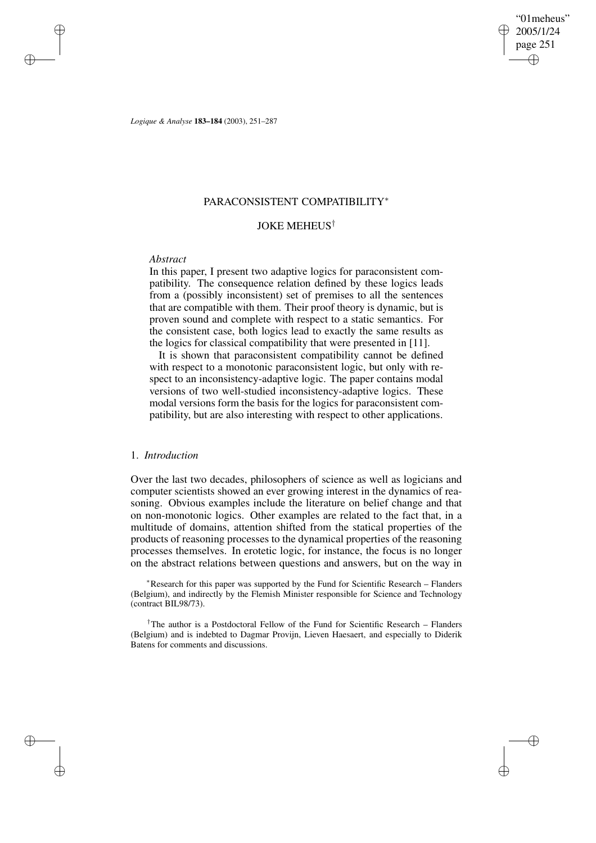"01meheus" 2005/1/24 page 251 ✐ ✐

✐

✐

*Logique & Analyse* **183–184** (2003), 251–287

## PARACONSISTENT COMPATIBILITY<sup>∗</sup>

# JOKE MEHEUS†

### *Abstract*

✐

✐

✐

✐

In this paper, I present two adaptive logics for paraconsistent compatibility. The consequence relation defined by these logics leads from a (possibly inconsistent) set of premises to all the sentences that are compatible with them. Their proof theory is dynamic, but is proven sound and complete with respect to a static semantics. For the consistent case, both logics lead to exactly the same results as the logics for classical compatibility that were presented in [11].

It is shown that paraconsistent compatibility cannot be defined with respect to a monotonic paraconsistent logic, but only with respect to an inconsistency-adaptive logic. The paper contains modal versions of two well-studied inconsistency-adaptive logics. These modal versions form the basis for the logics for paraconsistent compatibility, but are also interesting with respect to other applications.

# 1. *Introduction*

Over the last two decades, philosophers of science as well as logicians and computer scientists showed an ever growing interest in the dynamics of reasoning. Obvious examples include the literature on belief change and that on non-monotonic logics. Other examples are related to the fact that, in a multitude of domains, attention shifted from the statical properties of the products of reasoning processes to the dynamical properties of the reasoning processes themselves. In erotetic logic, for instance, the focus is no longer on the abstract relations between questions and answers, but on the way in

<sup>∗</sup>Research for this paper was supported by the Fund for Scientific Research – Flanders (Belgium), and indirectly by the Flemish Minister responsible for Science and Technology (contract BIL98/73).

<sup>†</sup>The author is a Postdoctoral Fellow of the Fund for Scientific Research – Flanders (Belgium) and is indebted to Dagmar Provijn, Lieven Haesaert, and especially to Diderik Batens for comments and discussions.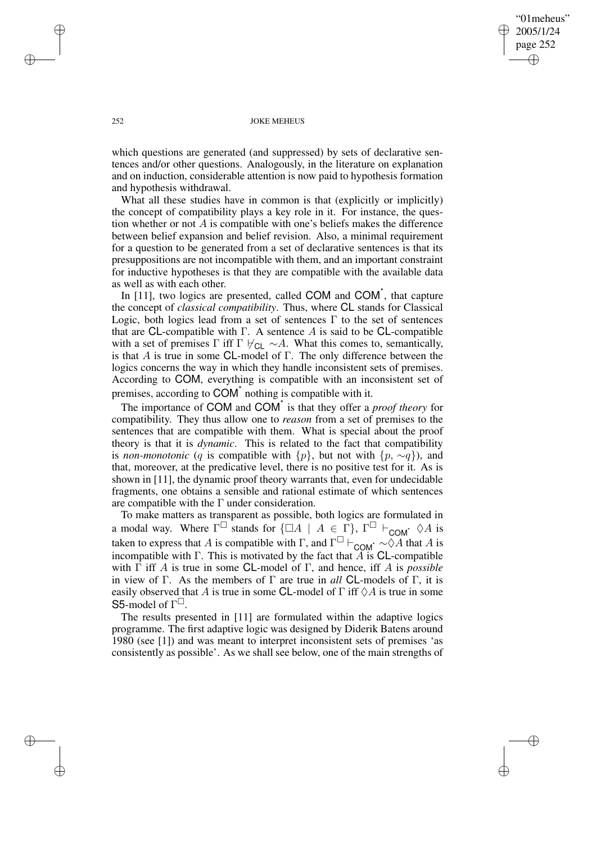"01meheus" 2005/1/24 page 252 ✐ ✐

✐

✐

### 252 JOKE MEHEUS

which questions are generated (and suppressed) by sets of declarative sentences and/or other questions. Analogously, in the literature on explanation and on induction, considerable attention is now paid to hypothesis formation and hypothesis withdrawal.

What all these studies have in common is that (explicitly or implicitly) the concept of compatibility plays a key role in it. For instance, the question whether or not  $A$  is compatible with one's beliefs makes the difference between belief expansion and belief revision. Also, a minimal requirement for a question to be generated from a set of declarative sentences is that its presuppositions are not incompatible with them, and an important constraint for inductive hypotheses is that they are compatible with the available data as well as with each other.

In [11], two logics are presented, called COM and COM<sup>\*</sup>, that capture the concept of *classical compatibility*. Thus, where CL stands for Classical Logic, both logics lead from a set of sentences Γ to the set of sentences that are CL-compatible with  $\Gamma$ . A sentence A is said to be CL-compatible with a set of premises Γ iff Γ  $\forall$ <sub>CL</sub> ∼A. What this comes to, semantically, is that A is true in some CL-model of Γ. The only difference between the logics concerns the way in which they handle inconsistent sets of premises. According to COM, everything is compatible with an inconsistent set of premises, according to COM<sup>\*</sup> nothing is compatible with it.

The importance of COM and COM\* is that they offer a *proof theory* for compatibility. They thus allow one to *reason* from a set of premises to the sentences that are compatible with them. What is special about the proof theory is that it is *dynamic*. This is related to the fact that compatibility is *non-monotonic* (q is compatible with  $\{p\}$ , but not with  $\{p, \sim q\}$ ), and that, moreover, at the predicative level, there is no positive test for it. As is shown in [11], the dynamic proof theory warrants that, even for undecidable fragments, one obtains a sensible and rational estimate of which sentences are compatible with the  $\Gamma$  under consideration.

To make matters as transparent as possible, both logics are formulated in a modal way. Where  $\Gamma^{\square}$  stands for  $\{\square A \mid A \in \Gamma\}$ ,  $\Gamma^{\square} \vdash_{COM^*} \Diamond A$  is taken to express that A is compatible with  $\Gamma$ , and  $\Gamma^{\square} \vdash_{\mathsf{COM}^{\star}} \sim \Diamond A$  that A is incompatible with  $\Gamma$ . This is motivated by the fact that  $\widetilde{A}$  is CL-compatible with Γ iff A is true in some CL-model of Γ, and hence, iff A is *possible* in view of Γ. As the members of Γ are true in *all* CL-models of Γ, it is easily observed that A is true in some CL-model of  $\Gamma$  iff  $\Diamond A$  is true in some S5-model of  $\Gamma^{\square}$ .

The results presented in [11] are formulated within the adaptive logics programme. The first adaptive logic was designed by Diderik Batens around 1980 (see [1]) and was meant to interpret inconsistent sets of premises 'as consistently as possible'. As we shall see below, one of the main strengths of

✐

✐

✐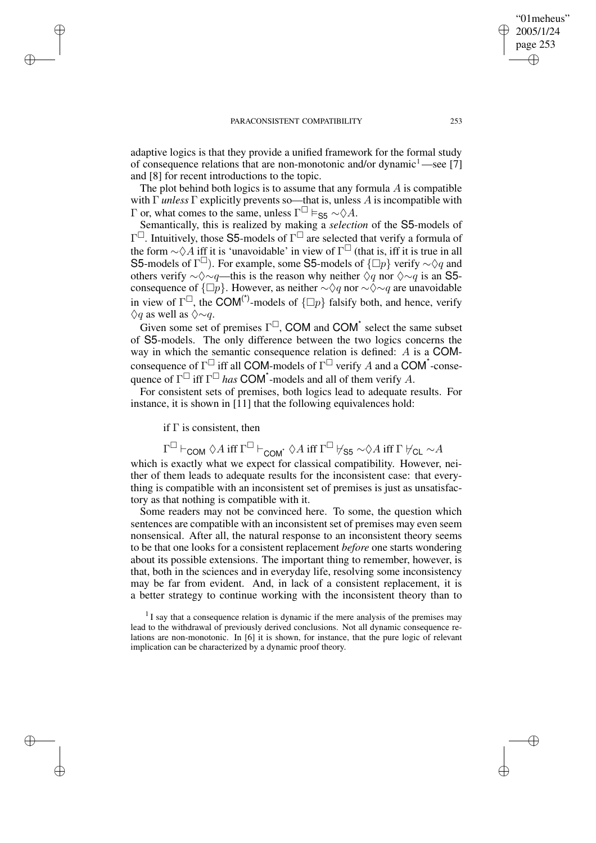adaptive logics is that they provide a unified framework for the formal study of consequence relations that are non-monotonic and/or dynamic<sup>1</sup>—see [7] and [8] for recent introductions to the topic.

The plot behind both logics is to assume that any formula  $\vec{A}$  is compatible with Γ *unless* Γ explicitly prevents so—that is, unless A is incompatible with Γ or, what comes to the same, unless  $\Gamma^{\Box} \vDash_{\mathsf{S5}} \sim \Diamond A$ .

Semantically, this is realized by making a *selection* of the S5-models of  $\Gamma^{\Box}$ . Intuitively, those S5-models of  $\Gamma^{\Box}$  are selected that verify a formula of the form  $\sim \Diamond A$  iff it is 'unavoidable' in view of  $\Gamma^{\Box}$  (that is, iff it is true in all S5-models of  $\Gamma^{\square}$ ). For example, some S5-models of  $\{\square p\}$  verify  $\sim \Diamond q$  and others verify  $\sim \Diamond \sim q$ —this is the reason why neither  $\Diamond q$  nor  $\Diamond \sim q$  is an S5consequence of  $\{\Box p\}$ . However, as neither ∼ $\Diamond q$  nor ∼ $\Diamond \sim q$  are unavoidable in view of  $\Gamma^{\square}$ , the COM<sup>(\*)</sup>-models of  $\{\square p\}$  falsify both, and hence, verify  $\Diamond a$  as well as  $\Diamond \sim a$ .

Given some set of premises  $\Gamma^{\square}$ , COM and COM<sup>\*</sup> select the same subset of S5-models. The only difference between the two logics concerns the way in which the semantic consequence relation is defined: A is a COMconsequence of  $\Gamma^{\Box}$  iff all COM-models of  $\Gamma^{\Box}$  verify A and a COM\*-consequence of  $\Gamma^{\square}$  iff  $\Gamma^{\square}$  has **COM**<sup>\*</sup>-models and all of them verify A.

For consistent sets of premises, both logics lead to adequate results. For instance, it is shown in  $[11]$  that the following equivalences hold:

if  $\Gamma$  is consistent, then

✐

✐

✐

✐

 $\Gamma^\square \vdash_{\mathsf{COM}} \Diamond A \text{ iff } \Gamma^\square \vdash_{\mathsf{COM}^*} \Diamond A \text{ iff } \Gamma^\square \not\vdash_{\mathsf{S5}} \sim \Diamond A \text{ iff } \Gamma \not\vdash_{\mathsf{CL}} \sim A$ 

which is exactly what we expect for classical compatibility. However, neither of them leads to adequate results for the inconsistent case: that everything is compatible with an inconsistent set of premises is just as unsatisfactory as that nothing is compatible with it.

Some readers may not be convinced here. To some, the question which sentences are compatible with an inconsistent set of premises may even seem nonsensical. After all, the natural response to an inconsistent theory seems to be that one looks for a consistent replacement *before* one starts wondering about its possible extensions. The important thing to remember, however, is that, both in the sciences and in everyday life, resolving some inconsistency may be far from evident. And, in lack of a consistent replacement, it is a better strategy to continue working with the inconsistent theory than to

 $<sup>1</sup>$  I say that a consequence relation is dynamic if the mere analysis of the premises may</sup> lead to the withdrawal of previously derived conclusions. Not all dynamic consequence relations are non-monotonic. In [6] it is shown, for instance, that the pure logic of relevant implication can be characterized by a dynamic proof theory.

"01meheus" 2005/1/24 page 253

✐

✐

✐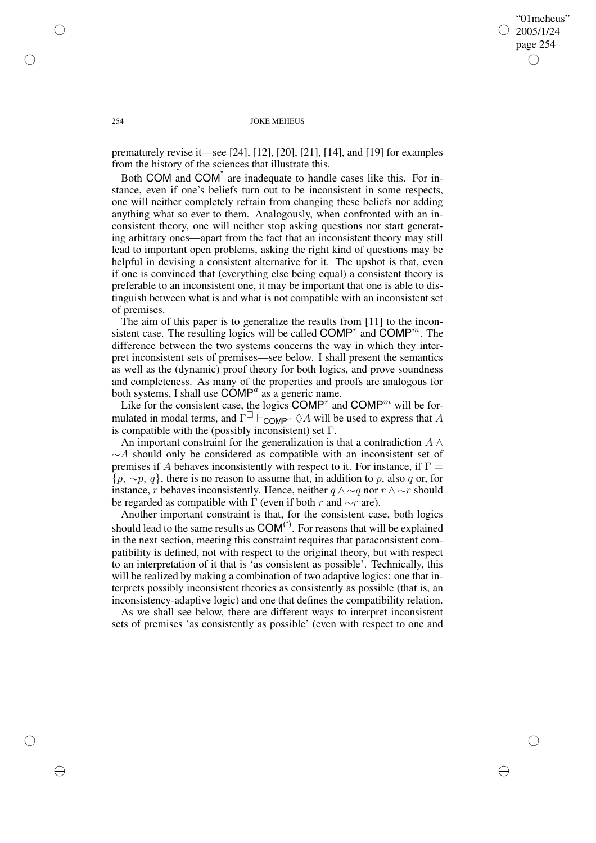"01meheus" 2005/1/24 page 254 ✐ ✐

✐

✐

### 254 JOKE MEHEUS

prematurely revise it—see [24], [12], [20], [21], [14], and [19] for examples from the history of the sciences that illustrate this.

Both COM and COM<sup>\*</sup> are inadequate to handle cases like this. For instance, even if one's beliefs turn out to be inconsistent in some respects, one will neither completely refrain from changing these beliefs nor adding anything what so ever to them. Analogously, when confronted with an inconsistent theory, one will neither stop asking questions nor start generating arbitrary ones—apart from the fact that an inconsistent theory may still lead to important open problems, asking the right kind of questions may be helpful in devising a consistent alternative for it. The upshot is that, even if one is convinced that (everything else being equal) a consistent theory is preferable to an inconsistent one, it may be important that one is able to distinguish between what is and what is not compatible with an inconsistent set of premises.

The aim of this paper is to generalize the results from [11] to the inconsistent case. The resulting logics will be called COMP<sup>r</sup> and COMP<sup>m</sup>. The difference between the two systems concerns the way in which they interpret inconsistent sets of premises—see below. I shall present the semantics as well as the (dynamic) proof theory for both logics, and prove soundness and completeness. As many of the properties and proofs are analogous for both systems, I shall use  $\overrightarrow{COMP}^a$  as a generic name.

Like for the consistent case, the logics COMP<sup>r</sup> and COMP<sup>m</sup> will be formulated in modal terms, and  $\Gamma^{\square} \vdash_{\text{COMP}^a} \Diamond A$  will be used to express that A is compatible with the (possibly inconsistent) set  $\Gamma$ .

An important constraint for the generalization is that a contradiction  $A \wedge$  $\sim$ A should only be considered as compatible with an inconsistent set of premises if A behaves inconsistently with respect to it. For instance, if  $\Gamma =$  $\{p, \sim p, q\}$ , there is no reason to assume that, in addition to p, also q or, for instance, r behaves inconsistently. Hence, neither  $q \wedge \sim q$  nor  $r \wedge \sim r$  should be regarded as compatible with  $\Gamma$  (even if both r and  $\sim r$  are).

Another important constraint is that, for the consistent case, both logics should lead to the same results as  $COM<sup>(*)</sup>$ . For reasons that will be explained in the next section, meeting this constraint requires that paraconsistent compatibility is defined, not with respect to the original theory, but with respect to an interpretation of it that is 'as consistent as possible'. Technically, this will be realized by making a combination of two adaptive logics: one that interprets possibly inconsistent theories as consistently as possible (that is, an inconsistency-adaptive logic) and one that defines the compatibility relation.

As we shall see below, there are different ways to interpret inconsistent sets of premises 'as consistently as possible' (even with respect to one and

✐

✐

✐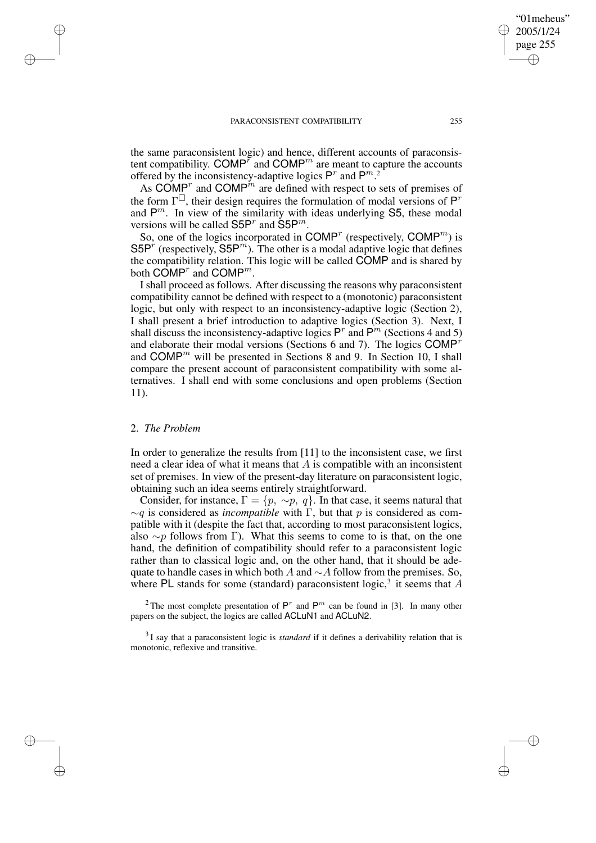the same paraconsistent logic) and hence, different accounts of paraconsistent compatibility. COMP<sup> $\bar{r}$ </sup> and COMP<sup> $m$ </sup> are meant to capture the accounts offered by the inconsistency-adaptive logics  $P^r$  and  $P^{m}$ .<sup>2</sup>

As COMP<sup>*n*</sup> and COMP<sup>*m*</sup> are defined with respect to sets of premises of the form  $\Gamma^{\square}$ , their design requires the formulation of modal versions of  $P^r$ and  $P^m$ . In view of the similarity with ideas underlying S5, these modal versions will be called  $S5P^r$  and  $\tilde{S}5P^m$ .

So, one of the logics incorporated in COMP<sup>r</sup> (respectively, COMP<sup>*m*</sup>) is S5P<sup>r</sup> (respectively, S5P<sup>m</sup>). The other is a modal adaptive logic that defines the compatibility relation. This logic will be called COMP and is shared by both  $\mathsf{COMP}^r$  and  $\mathsf{COMP}^m$ .

I shall proceed as follows. After discussing the reasons why paraconsistent compatibility cannot be defined with respect to a (monotonic) paraconsistent logic, but only with respect to an inconsistency-adaptive logic (Section 2), I shall present a brief introduction to adaptive logics (Section 3). Next, I shall discuss the inconsistency-adaptive logics  $P^r$  and  $P^m$  (Sections 4 and 5) and elaborate their modal versions (Sections 6 and 7). The logics  $COMP<sup>r</sup>$ and  $COMP<sup>m</sup>$  will be presented in Sections 8 and 9. In Section 10, I shall compare the present account of paraconsistent compatibility with some alternatives. I shall end with some conclusions and open problems (Section 11).

### 2. *The Problem*

✐

✐

✐

✐

In order to generalize the results from [11] to the inconsistent case, we first need a clear idea of what it means that  $A$  is compatible with an inconsistent set of premises. In view of the present-day literature on paraconsistent logic, obtaining such an idea seems entirely straightforward.

Consider, for instance,  $\Gamma = \{p, \sim p, q\}$ . In that case, it seems natural that  $\sim q$  is considered as *incompatible* with  $\Gamma$ , but that p is considered as compatible with it (despite the fact that, according to most paraconsistent logics, also  $\sim p$  follows from Γ). What this seems to come to is that, on the one hand, the definition of compatibility should refer to a paraconsistent logic rather than to classical logic and, on the other hand, that it should be adequate to handle cases in which both A and  $\sim$ A follow from the premises. So, where PL stands for some (standard) paraconsistent logic,<sup>3</sup> it seems that  $A$ 

<sup>2</sup>The most complete presentation of  $P^r$  and  $P^m$  can be found in [3]. In many other papers on the subject, the logics are called ACLuN1 and ACLuN2.

3 I say that a paraconsistent logic is *standard* if it defines a derivability relation that is monotonic, reflexive and transitive.

"01meheus" 2005/1/24 page 255

✐

✐

✐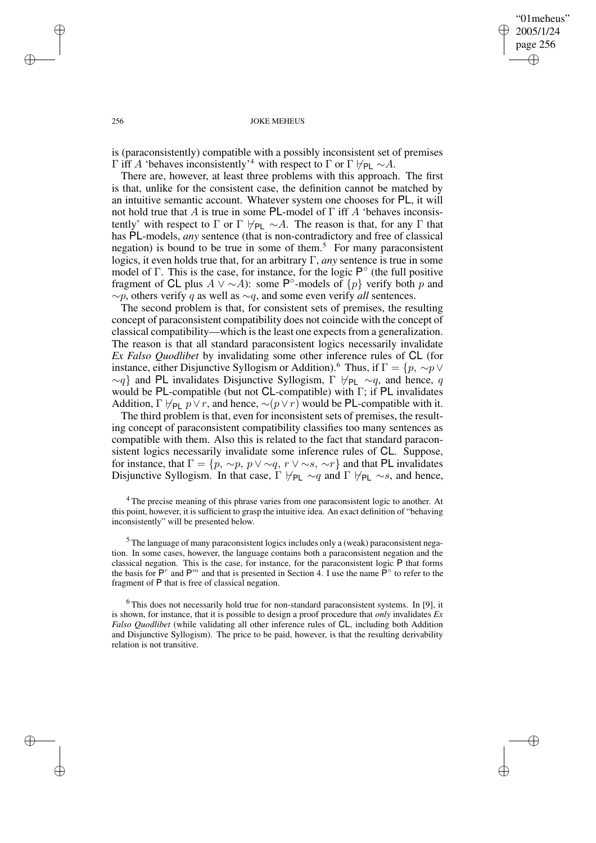✐

### 256 JOKE MEHEUS

is (paraconsistently) compatible with a possibly inconsistent set of premises Γ iff A 'behaves inconsistently'<sup>4</sup> with respect to Γ or Γ  $\nvdash_{PL} \sim A$ .

There are, however, at least three problems with this approach. The first is that, unlike for the consistent case, the definition cannot be matched by an intuitive semantic account. Whatever system one chooses for PL, it will not hold true that A is true in some PL-model of  $\Gamma$  iff A 'behaves inconsistently' with respect to Γ or Γ  $\nvdash_{PL} \sim A$ . The reason is that, for any Γ that has PL-models, *any* sentence (that is non-contradictory and free of classical negation) is bound to be true in some of them.<sup>5</sup> For many paraconsistent logics, it even holds true that, for an arbitrary Γ, *any* sentence is true in some model of  $\Gamma$ . This is the case, for instance, for the logic  $\mathsf{P}^{\circ}$  (the full positive fragment of CL plus  $A \vee \sim A$ ): some P°-models of  $\{p\}$  verify both p and ∼p, others verify q as well as ∼q, and some even verify *all* sentences.

The second problem is that, for consistent sets of premises, the resulting concept of paraconsistent compatibility does not coincide with the concept of classical compatibility—which is the least one expects from a generalization. The reason is that all standard paraconsistent logics necessarily invalidate *Ex Falso Quodlibet* by invalidating some other inference rules of CL (for instance, either Disjunctive Syllogism or Addition).<sup>6</sup> Thus, if  $\Gamma = \{p, \sim p \vee p\}$  $\sim q$ } and PL invalidates Disjunctive Syllogism, Γ  $\nvdash_{PL} \sim q$ , and hence, q would be PL-compatible (but not CL-compatible) with Γ; if PL invalidates Addition,  $\Gamma \not\models_{\text{PL}} p \vee r$ , and hence,  $\sim (p \vee r)$  would be PL-compatible with it.

The third problem is that, even for inconsistent sets of premises, the resulting concept of paraconsistent compatibility classifies too many sentences as compatible with them. Also this is related to the fact that standard paraconsistent logics necessarily invalidate some inference rules of CL. Suppose, for instance, that  $\Gamma = \{p, \sim p, p \lor \sim q, r \lor \sim s, \sim r\}$  and that PL invalidates Disjunctive Syllogism. In that case,  $\Gamma \not\models_{\mathsf{PL}} \sim q$  and  $\Gamma \not\models_{\mathsf{PL}} \sim s$ , and hence,

<sup>4</sup> The precise meaning of this phrase varies from one paraconsistent logic to another. At this point, however, it is sufficient to grasp the intuitive idea. An exact definition of "behaving inconsistently" will be presented below.

<sup>5</sup> The language of many paraconsistent logics includes only a (weak) paraconsistent negation. In some cases, however, the language contains both a paraconsistent negation and the classical negation. This is the case, for instance, for the paraconsistent logic P that forms the basis for  $P^r$  and  $P^m$  and that is presented in Section 4. I use the name  $\overline{P}^{\circ}$  to refer to the fragment of P that is free of classical negation.

 $6$ This does not necessarily hold true for non-standard paraconsistent systems. In [9], it is shown, for instance, that it is possible to design a proof procedure that *only* invalidates *Ex Falso Quodlibet* (while validating all other inference rules of CL, including both Addition and Disjunctive Syllogism). The price to be paid, however, is that the resulting derivability relation is not transitive.

✐

✐

✐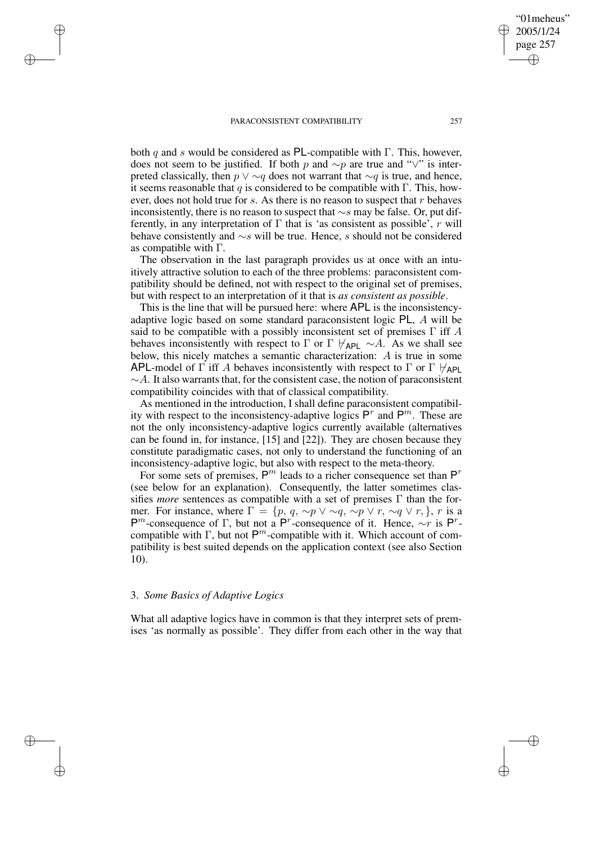✐

✐

✐

both q and s would be considered as PL-compatible with  $\Gamma$ . This, however, does not seem to be justified. If both p and ∼p are true and "∨" is interpreted classically, then  $p \vee \sim q$  does not warrant that  $\sim q$  is true, and hence, it seems reasonable that q is considered to be compatible with  $\Gamma$ . This, however, does not hold true for s. As there is no reason to suspect that r behaves inconsistently, there is no reason to suspect that ∼s may be false. Or, put differently, in any interpretation of  $\Gamma$  that is 'as consistent as possible', r will behave consistently and ∼s will be true. Hence, s should not be considered

The observation in the last paragraph provides us at once with an intuitively attractive solution to each of the three problems: paraconsistent compatibility should be defined, not with respect to the original set of premises, but with respect to an interpretation of it that is *as consistent as possible*.

This is the line that will be pursued here: where APL is the inconsistencyadaptive logic based on some standard paraconsistent logic PL, A will be said to be compatible with a possibly inconsistent set of premises  $\Gamma$  iff A behaves inconsistently with respect to  $\Gamma$  or  $\Gamma \nvdash_{APL} \sim A$ . As we shall see below, this nicely matches a semantic characterization: A is true in some APL-model of  $\Gamma$  iff A behaves inconsistently with respect to  $\Gamma$  or  $\Gamma \nvdash_{AP}$  $\sim$  A. It also warrants that, for the consistent case, the notion of paraconsistent compatibility coincides with that of classical compatibility.

As mentioned in the introduction, I shall define paraconsistent compatibility with respect to the inconsistency-adaptive logics  $P<sup>r</sup>$  and  $P<sup>m</sup>$ . These are not the only inconsistency-adaptive logics currently available (alternatives can be found in, for instance, [15] and [22]). They are chosen because they constitute paradigmatic cases, not only to understand the functioning of an inconsistency-adaptive logic, but also with respect to the meta-theory.

For some sets of premises,  $P^m$  leads to a richer consequence set than  $P^r$ (see below for an explanation). Consequently, the latter sometimes classifies *more* sentences as compatible with a set of premises Γ than the former. For instance, where  $\Gamma = \{p, q, \sim p \vee \sim q, \sim p \vee r, \sim q \vee r, \}$ , r is a P<sup>*m*</sup>-consequence of Γ, but not a P<sup>r</sup>-consequence of it. Hence,  $\sim$ r is P<sup>r</sup>compatible with  $\Gamma$ , but not  $\mathsf{P}^m$ -compatible with it. Which account of compatibility is best suited depends on the application context (see also Section 10).

## 3. *Some Basics of Adaptive Logics*

as compatible with Γ.

What all adaptive logics have in common is that they interpret sets of premises 'as normally as possible'. They differ from each other in the way that

"01meheus" 2005/1/24 page 257

✐

✐

✐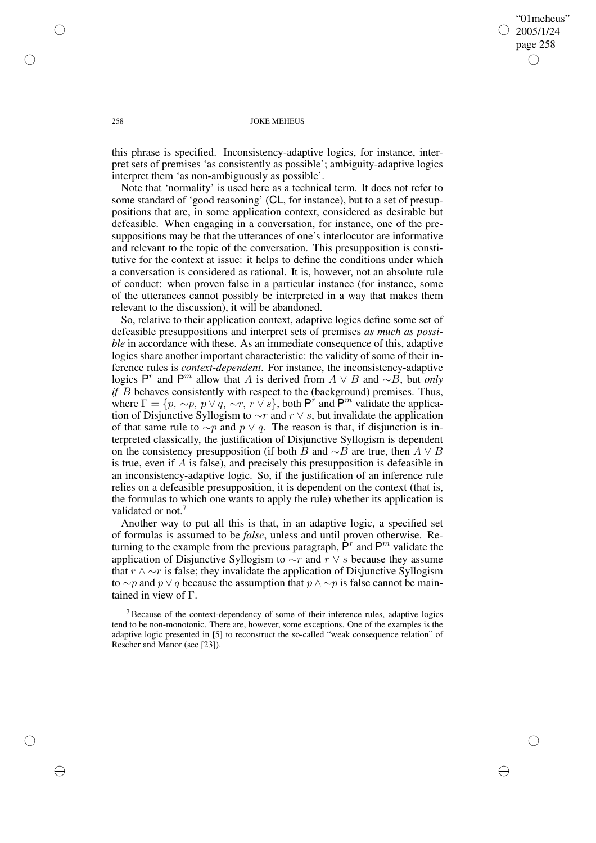"01meheus" 2005/1/24 page 258 ✐ ✐

✐

✐

### 258 JOKE MEHEUS

this phrase is specified. Inconsistency-adaptive logics, for instance, interpret sets of premises 'as consistently as possible'; ambiguity-adaptive logics interpret them 'as non-ambiguously as possible'.

Note that 'normality' is used here as a technical term. It does not refer to some standard of 'good reasoning' (CL, for instance), but to a set of presuppositions that are, in some application context, considered as desirable but defeasible. When engaging in a conversation, for instance, one of the presuppositions may be that the utterances of one's interlocutor are informative and relevant to the topic of the conversation. This presupposition is constitutive for the context at issue: it helps to define the conditions under which a conversation is considered as rational. It is, however, not an absolute rule of conduct: when proven false in a particular instance (for instance, some of the utterances cannot possibly be interpreted in a way that makes them relevant to the discussion), it will be abandoned.

So, relative to their application context, adaptive logics define some set of defeasible presuppositions and interpret sets of premises *as much as possible* in accordance with these. As an immediate consequence of this, adaptive logics share another important characteristic: the validity of some of their inference rules is *context-dependent*. For instance, the inconsistency-adaptive logics P<sup>r</sup> and P<sup>m</sup> allow that A is derived from  $A \vee B$  and  $\sim B$ , but *only if B* behaves consistently with respect to the (background) premises. Thus, where  $\Gamma = \{p, \sim p, p \lor q, \sim r, r \lor s\}$ , both  $P^r$  and  $\overline{P}^m$  validate the application of Disjunctive Syllogism to  $\sim r$  and  $r \vee s$ , but invalidate the application of that same rule to  $\sim p$  and  $p \vee q$ . The reason is that, if disjunction is interpreted classically, the justification of Disjunctive Syllogism is dependent on the consistency presupposition (if both B and  $\sim$ B are true, then A  $\vee$  B is true, even if A is false), and precisely this presupposition is defeasible in an inconsistency-adaptive logic. So, if the justification of an inference rule relies on a defeasible presupposition, it is dependent on the context (that is, the formulas to which one wants to apply the rule) whether its application is validated or not.<sup>7</sup>

Another way to put all this is that, in an adaptive logic, a specified set of formulas is assumed to be *false*, unless and until proven otherwise. Returning to the example from the previous paragraph,  $\hat{P}^r$  and  $P^m$  validate the application of Disjunctive Syllogism to  $\sim r$  and  $r \vee s$  because they assume that  $r \wedge \neg r$  is false; they invalidate the application of Disjunctive Syllogism to ∼p and p  $\lor$  q because the assumption that  $p \land \sim p$  is false cannot be maintained in view of Γ.

<sup>7</sup> Because of the context-dependency of some of their inference rules, adaptive logics tend to be non-monotonic. There are, however, some exceptions. One of the examples is the adaptive logic presented in [5] to reconstruct the so-called "weak consequence relation" of Rescher and Manor (see [23]).

✐

✐

✐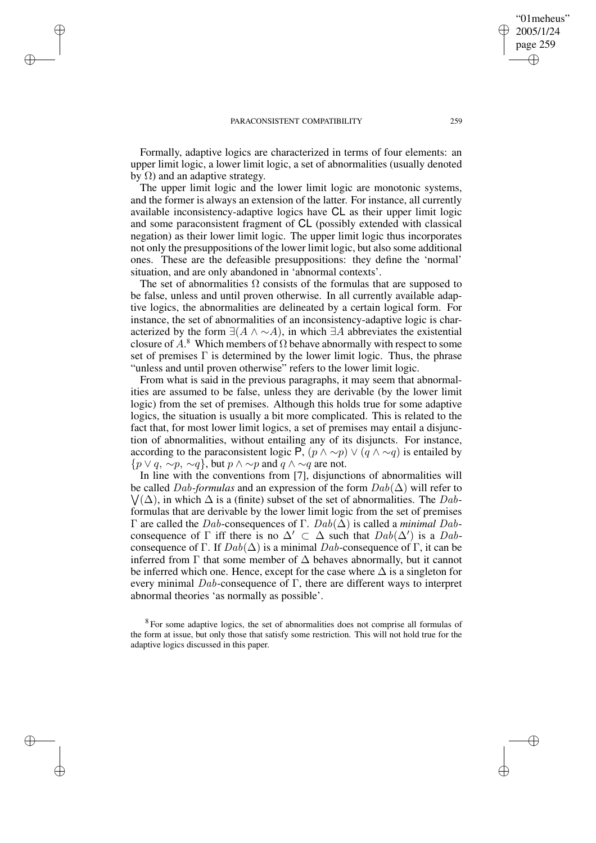✐

✐

✐

✐

Formally, adaptive logics are characterized in terms of four elements: an upper limit logic, a lower limit logic, a set of abnormalities (usually denoted by  $Ω$ ) and an adaptive strategy.

The upper limit logic and the lower limit logic are monotonic systems, and the former is always an extension of the latter. For instance, all currently available inconsistency-adaptive logics have CL as their upper limit logic and some paraconsistent fragment of CL (possibly extended with classical negation) as their lower limit logic. The upper limit logic thus incorporates not only the presuppositions of the lower limit logic, but also some additional ones. These are the defeasible presuppositions: they define the 'normal' situation, and are only abandoned in 'abnormal contexts'.

The set of abnormalities  $\Omega$  consists of the formulas that are supposed to be false, unless and until proven otherwise. In all currently available adaptive logics, the abnormalities are delineated by a certain logical form. For instance, the set of abnormalities of an inconsistency-adaptive logic is characterized by the form  $\exists (A \land \neg A)$ , in which  $\exists A$  abbreviates the existential closure of  $A$ <sup>8</sup>. Which members of  $\Omega$  behave abnormally with respect to some set of premises  $\Gamma$  is determined by the lower limit logic. Thus, the phrase "unless and until proven otherwise" refers to the lower limit logic.

From what is said in the previous paragraphs, it may seem that abnormalities are assumed to be false, unless they are derivable (by the lower limit logic) from the set of premises. Although this holds true for some adaptive logics, the situation is usually a bit more complicated. This is related to the fact that, for most lower limit logics, a set of premises may entail a disjunction of abnormalities, without entailing any of its disjuncts. For instance, according to the paraconsistent logic P,  $(p \land \sim p) \lor (q \land \sim q)$  is entailed by  $\{p \lor q, \sim p, \sim q\}$ , but  $p \land \sim p$  and  $q \land \sim q$  are not.

In line with the conventions from [7], disjunctions of abnormalities will be called  $Dab$ -formulas and an expression of the form  $Dab(\Delta)$  will refer to  $\bigvee(\Delta)$ , in which  $\Delta$  is a (finite) subset of the set of abnormalities. The Dabformulas that are derivable by the lower limit logic from the set of premises Γ are called the Dab-consequences of Γ. Dab(∆) is called a *minimal* Dabconsequence of  $\Gamma$  iff there is no  $\Delta' \subset \Delta$  such that  $Dab(\Delta')$  is a Dabconsequence of Γ. If  $Dab(\Delta)$  is a minimal Dab-consequence of Γ, it can be inferred from  $\Gamma$  that some member of  $\Delta$  behaves abnormally, but it cannot be inferred which one. Hence, except for the case where  $\Delta$  is a singleton for every minimal  $Dab$ -consequence of Γ, there are different ways to interpret abnormal theories 'as normally as possible'.

<sup>8</sup> For some adaptive logics, the set of abnormalities does not comprise all formulas of the form at issue, but only those that satisfy some restriction. This will not hold true for the adaptive logics discussed in this paper.

"01meheus" 2005/1/24 page 259

✐

✐

✐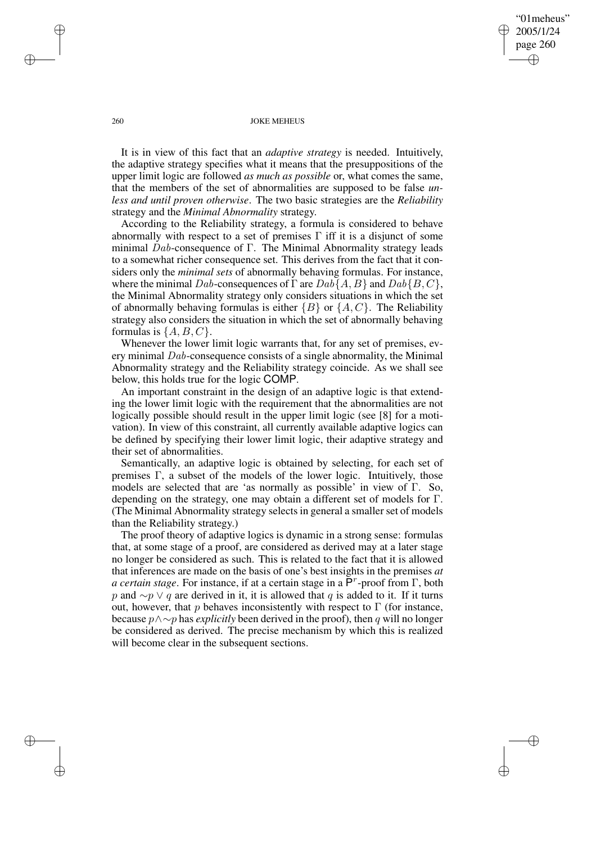"01meheus" 2005/1/24 page 260 ✐ ✐

✐

✐

### 260 JOKE MEHEUS

It is in view of this fact that an *adaptive strategy* is needed. Intuitively, the adaptive strategy specifies what it means that the presuppositions of the upper limit logic are followed *as much as possible* or, what comes the same, that the members of the set of abnormalities are supposed to be false *unless and until proven otherwise*. The two basic strategies are the *Reliability* strategy and the *Minimal Abnormality* strategy.

According to the Reliability strategy, a formula is considered to behave abnormally with respect to a set of premises  $\Gamma$  iff it is a disjunct of some minimal  $Dab$ -consequence of Γ. The Minimal Abnormality strategy leads to a somewhat richer consequence set. This derives from the fact that it considers only the *minimal sets* of abnormally behaving formulas. For instance, where the minimal Dab-consequences of  $\Gamma$  are  $Dab{A, B}$  and  $Dab{B, C}$ , the Minimal Abnormality strategy only considers situations in which the set of abnormally behaving formulas is either  ${B}$  or  ${A, C}$ . The Reliability strategy also considers the situation in which the set of abnormally behaving formulas is  $\{A, B, C\}$ .

Whenever the lower limit logic warrants that, for any set of premises, every minimal Dab-consequence consists of a single abnormality, the Minimal Abnormality strategy and the Reliability strategy coincide. As we shall see below, this holds true for the logic COMP.

An important constraint in the design of an adaptive logic is that extending the lower limit logic with the requirement that the abnormalities are not logically possible should result in the upper limit logic (see [8] for a motivation). In view of this constraint, all currently available adaptive logics can be defined by specifying their lower limit logic, their adaptive strategy and their set of abnormalities.

Semantically, an adaptive logic is obtained by selecting, for each set of premises Γ, a subset of the models of the lower logic. Intuitively, those models are selected that are 'as normally as possible' in view of Γ. So, depending on the strategy, one may obtain a different set of models for Γ. (The Minimal Abnormality strategy selects in general a smaller set of models than the Reliability strategy.)

The proof theory of adaptive logics is dynamic in a strong sense: formulas that, at some stage of a proof, are considered as derived may at a later stage no longer be considered as such. This is related to the fact that it is allowed that inferences are made on the basis of one's best insights in the premises *at a certain stage*. For instance, if at a certain stage in a  $\overline{P}^r$ -proof from Γ, both p and  $\sim p \vee q$  are derived in it, it is allowed that q is added to it. If it turns out, however, that p behaves inconsistently with respect to  $\Gamma$  (for instance, because p∧∼p has *explicitly* been derived in the proof), then q will no longer be considered as derived. The precise mechanism by which this is realized will become clear in the subsequent sections.

✐

✐

✐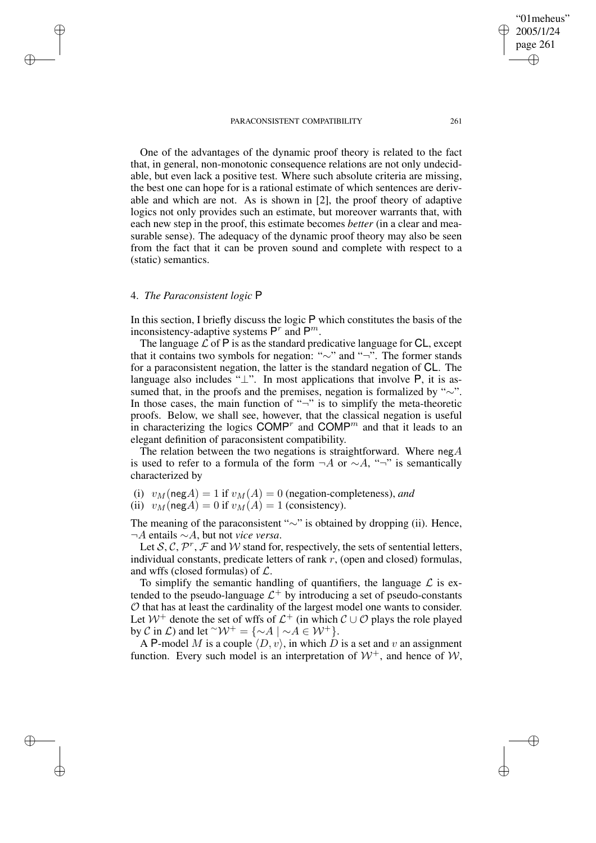2005/1/24 page 261 ✐ ✐

✐

✐

"01meheus"

One of the advantages of the dynamic proof theory is related to the fact that, in general, non-monotonic consequence relations are not only undecidable, but even lack a positive test. Where such absolute criteria are missing, the best one can hope for is a rational estimate of which sentences are derivable and which are not. As is shown in [2], the proof theory of adaptive logics not only provides such an estimate, but moreover warrants that, with each new step in the proof, this estimate becomes *better* (in a clear and measurable sense). The adequacy of the dynamic proof theory may also be seen from the fact that it can be proven sound and complete with respect to a (static) semantics.

# 4. *The Paraconsistent logic* P

✐

✐

✐

✐

In this section, I briefly discuss the logic P which constitutes the basis of the inconsistency-adaptive systems  $P^r$  and  $P^m$ .

The language  $\mathcal L$  of  $\mathsf P$  is as the standard predicative language for CL, except that it contains two symbols for negation: "∼" and "¬". The former stands for a paraconsistent negation, the latter is the standard negation of CL. The language also includes " $\perp$ ". In most applications that involve P, it is assumed that, in the proofs and the premises, negation is formalized by "∼". In those cases, the main function of " $\neg$ " is to simplify the meta-theoretic proofs. Below, we shall see, however, that the classical negation is useful in characterizing the logics  $\text{COMP}^r$  and  $\text{COMP}^m$  and that it leads to an elegant definition of paraconsistent compatibility.

The relation between the two negations is straightforward. Where  $negA$ is used to refer to a formula of the form  $\neg A$  or  $\sim A$ , " $\neg$ " is semantically characterized by

(i)  $v_M(\text{neg}A) = 1$  if  $v_M(A) = 0$  (negation-completeness), and

(ii)  $v_M(\text{neg} A) = 0$  if  $v_M(A) = 1$  (consistency).

The meaning of the paraconsistent "∼" is obtained by dropping (ii). Hence, ¬A entails ∼A, but not *vice versa*.

Let  $S, C, P^r, F$  and W stand for, respectively, the sets of sentential letters, individual constants, predicate letters of rank  $r$ , (open and closed) formulas, and wffs (closed formulas) of  $\mathcal{L}$ .

To simplify the semantic handling of quantifiers, the language  $\mathcal L$  is extended to the pseudo-language  $\mathcal{L}^+$  by introducing a set of pseudo-constants O that has at least the cardinality of the largest model one wants to consider. Let  $W^+$  denote the set of wffs of  $\mathcal{L}^+$  (in which  $\mathcal{C} \cup \mathcal{O}$  plays the role played by C in L) and let  $\sim W^+ = \{\sim A \mid \sim A \in W^+\}.$ 

A P-model M is a couple  $\langle D, v \rangle$ , in which D is a set and v an assignment function. Every such model is an interpretation of  $W^+$ , and hence of  $W$ ,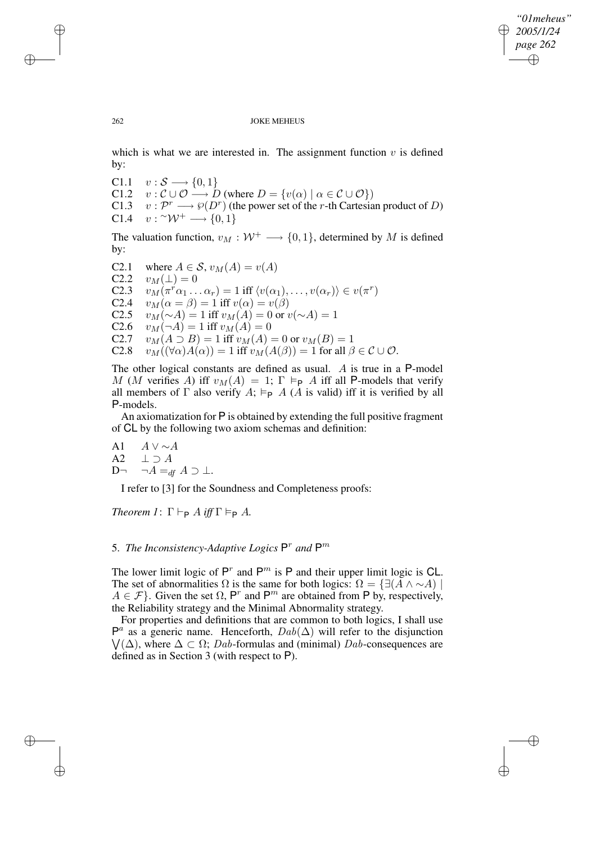✐

262 JOKE MEHEUS

which is what we are interested in. The assignment function  $v$  is defined by:

- C1.1  $v : \mathcal{S} \longrightarrow \{0, 1\}$
- C1.2  $v : \mathcal{C} \cup \mathcal{O} \longrightarrow D$  (where  $D = \{v(\alpha) \mid \alpha \in \mathcal{C} \cup \mathcal{O}\}\$ )
- C1.3  $v : \mathcal{P}^r \longrightarrow \mathcal{P}(D^r)$  (the power set of the r-th Cartesian product of D) C1.4  $v: \sim \mathcal{W}^+ \longrightarrow \{0, 1\}$

The valuation function,  $v_M : \mathcal{W}^+ \longrightarrow \{0, 1\}$ , determined by M is defined by:

C2.1 where  $A \in S$ ,  $v_M(A) = v(A)$ <br>C2.2  $v_M(\perp) = 0$ C2.2  $v_M(\perp) = 0$ <br>C2.3  $v_M(\pi^r\alpha_1)$ . C2.3  $v_M(\pi^r\alpha_1 \dots \alpha_r) = 1$  iff  $\langle v(\alpha_1), \dots, v(\alpha_r) \rangle \in v(\pi^r)$ C2.4  $v_M(\alpha = \beta) = 1$  iff  $v(\alpha) = v(\beta)$ C2.5  $v_M(\sim A) = 1$  iff  $v_M(A) = 0$  or  $v(\sim A) = 1$ <br>C2.6  $v_M(\neg A) = 1$  iff  $v_M(A) = 0$  $v_M(\neg A) = 1$  iff  $v_M(A) = 0$ C2.7  $v_M(A \supseteq B) = 1$  iff  $v_M(A) = 0$  or  $v_M(B) = 1$ C2.8  $v_M((\forall \alpha)A(\alpha)) = 1$  iff  $v_M(A(\beta)) = 1$  for all  $\beta \in \mathcal{C} \cup \mathcal{O}$ .

The other logical constants are defined as usual. A is true in a P-model M (M verifies A) iff  $v_M(A) = 1$ ;  $\Gamma \models_{\mathsf{P}} A$  iff all P-models that verify all members of  $\Gamma$  also verify  $A$ ;  $\models_{\mathsf{P}} A$  (A is valid) iff it is verified by all P-models.

An axiomatization for P is obtained by extending the full positive fragment of CL by the following two axiom schemas and definition:

A1  $A \vee \sim A$ <br>A2  $\vdash \supset A$  $\bot \supset A$ D¬  $\neg A =_{df} A \supset \bot$ .

I refer to [3] for the Soundness and Completeness proofs:

*Theorem*  $I: \Gamma \vdash_{\mathsf{P}} A$  *iff*  $\Gamma \vDash_{\mathsf{P}} A$ *.* 

# 5. *The Inconsistency-Adaptive Logics*  $P<sup>r</sup>$  and  $P<sup>m</sup>$

The lower limit logic of  $P^r$  and  $P^m$  is P and their upper limit logic is CL. The set of abnormalities  $\Omega$  is the same for both logics:  $\Omega = \{ \exists (A \land \sim A) \mid$  $A \in \mathcal{F}$ . Given the set  $\Omega$ , P<sup>r</sup> and P<sup>m</sup> are obtained from P by, respectively, the Reliability strategy and the Minimal Abnormality strategy.

For properties and definitions that are common to both logics, I shall use  $P^a$  as a generic name. Henceforth,  $Dab(\Delta)$  will refer to the disjunction  $\bigvee(\Delta)$ , where  $\Delta \subset \Omega$ ; Dab-formulas and (minimal) Dab-consequences are defined as in Section 3 (with respect to P).

✐

✐

✐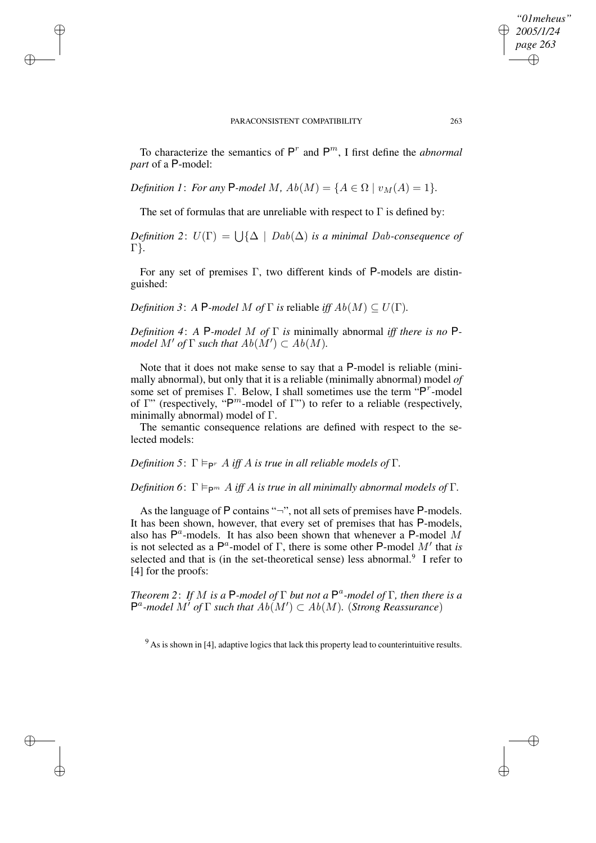✐

✐

✐

✐

To characterize the semantics of  $P^r$  and  $P^m$ , I first define the *abnormal part* of a P-model:

*Definition* 1: *For any* **P**-model M,  $Ab(M) = \{A \in \Omega \mid v_M(A) = 1\}$ .

The set of formulas that are unreliable with respect to  $\Gamma$  is defined by:

 $Definition 2: U(\Gamma) = \bigcup \{ \Delta \mid Dab(\Delta) \text{ is a minimal } Dab\text{-consequence of }$ Γ}*.*

For any set of premises Γ, two different kinds of P-models are distinguished:

*Definition* 3: *A* P*-model M of*  $\Gamma$  *is* reliable *iff*  $Ab(M) \subseteq U(\Gamma)$ *.* 

*Definition 4*: *A* P*-model* M *of* Γ *is* minimally abnormal *iff there is no* P*model*  $M'$  *of*  $\Gamma$  *such that*  $Ab(M') \subset Ab(M)$ *.* 

Note that it does not make sense to say that a P-model is reliable (minimally abnormal), but only that it is a reliable (minimally abnormal) model *of* some set of premises Γ. Below, I shall sometimes use the term "P<sup>r</sup>-model of  $\Gamma$ " (respectively, "P<sup>m</sup>-model of  $\Gamma$ ") to refer to a reliable (respectively, minimally abnormal) model of Γ.

The semantic consequence relations are defined with respect to the selected models:

 $Definition 5: \Gamma \models_{\mathsf{P}^r} A \text{ iff } A \text{ is true in all reliable models of } \Gamma.$ 

*Definition* 6:  $\Gamma \models_{\mathsf{P}^m} A$  *iff* A *is true in all minimally abnormal models of*  $\Gamma$ *.* 

As the language of P contains "¬", not all sets of premises have P-models. It has been shown, however, that every set of premises that has P-models, also has  $P^a$ -models. It has also been shown that whenever a P-model M is not selected as a  $\mathsf{P}^a$ -model of  $\Gamma$ , there is some other P-model  $M'$  that *is* selected and that is (in the set-theoretical sense) less abnormal.<sup>9</sup> I refer to [4] for the proofs:

*Theorem 2*: *If* M *is a* P*-model of* Γ *but not a* P a *-model of* Γ*, then there is a*  $P^a$ -model  $M^{\dagger}$  of  $\Gamma$  *such that*  $Ab(M') \subset Ab(M)$ . (*Strong Reassurance*)

 $9$  As is shown in [4], adaptive logics that lack this property lead to counterintuitive results.

*"01meheus" 2005/1/24 page 263*

✐

✐

✐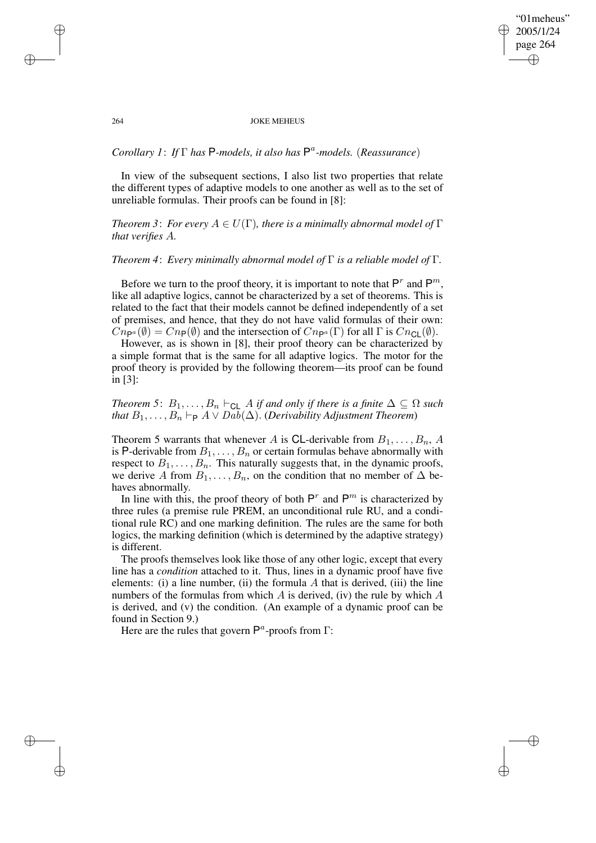"01meheus" 2005/1/24 page 264 ✐ ✐

✐

✐

### 264 JOKE MEHEUS

# *Corollary 1*: *If* Γ *has* P*-models, it also has* P a *-models.* (*Reassurance*)

In view of the subsequent sections, I also list two properties that relate the different types of adaptive models to one another as well as to the set of unreliable formulas. Their proofs can be found in [8]:

*Theorem* 3: *For every*  $A \in U(\Gamma)$ *, there is a minimally abnormal model of*  $\Gamma$ *that verifies* A*.*

## *Theorem 4*: *Every minimally abnormal model of* Γ *is a reliable model of* Γ*.*

Before we turn to the proof theory, it is important to note that  $P^r$  and  $P^m$ , like all adaptive logics, cannot be characterized by a set of theorems. This is related to the fact that their models cannot be defined independently of a set of premises, and hence, that they do not have valid formulas of their own:  $Cn_{\mathsf{P}^a}(\emptyset) = Cn_{\mathsf{P}}(\emptyset)$  and the intersection of  $Cn_{\mathsf{P}^a}(\Gamma)$  for all  $\Gamma$  is  $Cn_{\mathsf{CL}}(\emptyset)$ .

However, as is shown in [8], their proof theory can be characterized by a simple format that is the same for all adaptive logics. The motor for the proof theory is provided by the following theorem—its proof can be found in [3]:

*Theorem* 5:  $B_1, \ldots, B_n \vdash_{\text{CL}} A$  *if and only if there is a finite*  $\Delta \subseteq \Omega$  *such that*  $B_1, \ldots, B_n \vdash_{\mathsf{P}} A \vee Dab(\Delta)$ . (*Derivability Adjustment Theorem*)

Theorem 5 warrants that whenever A is CL-derivable from  $B_1, \ldots, B_n$ , A is P-derivable from  $B_1, \ldots, B_n$  or certain formulas behave abnormally with respect to  $B_1, \ldots, B_n$ . This naturally suggests that, in the dynamic proofs, we derive A from  $B_1, \ldots, B_n$ , on the condition that no member of  $\Delta$  behaves abnormally.

In line with this, the proof theory of both  $P^r$  and  $P^m$  is characterized by three rules (a premise rule PREM, an unconditional rule RU, and a conditional rule RC) and one marking definition. The rules are the same for both logics, the marking definition (which is determined by the adaptive strategy) is different.

The proofs themselves look like those of any other logic, except that every line has a *condition* attached to it. Thus, lines in a dynamic proof have five elements: (i) a line number, (ii) the formula  $A$  that is derived, (iii) the line numbers of the formulas from which  $A$  is derived, (iv) the rule by which  $A$ is derived, and (v) the condition. (An example of a dynamic proof can be found in Section 9.)

Here are the rules that govern  $\mathsf{P}^a$ -proofs from  $\Gamma$ :

✐

✐

✐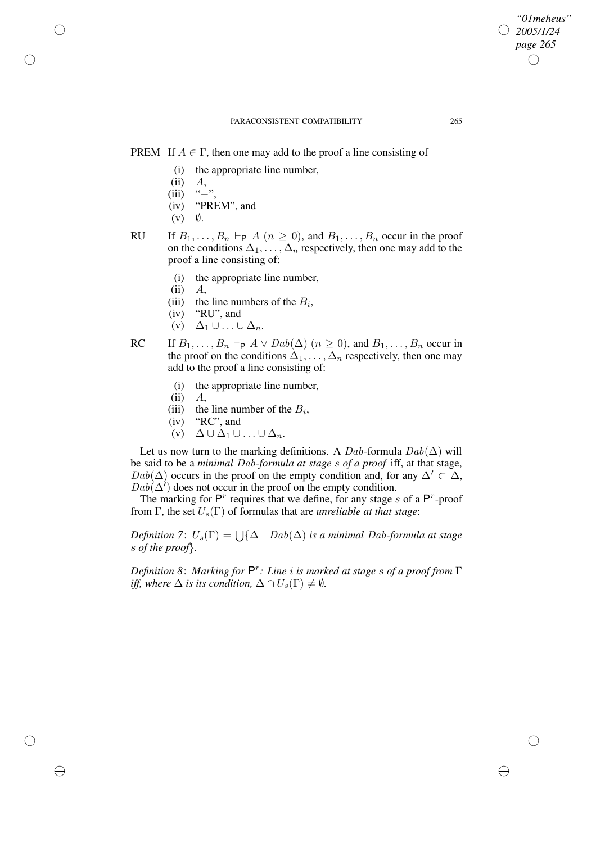# PREM If  $A \in \Gamma$ , then one may add to the proof a line consisting of

- (i) the appropriate line number,
- $(ii)$   $A$ ,

✐

✐

✐

✐

- $(iii)$  "−",
- (iv) "PREM", and
- $(v)$   $\emptyset$ .
- RU If  $B_1, \ldots, B_n \vdash_{\mathsf{P}} A$   $(n \geq 0)$ , and  $B_1, \ldots, B_n$  occur in the proof on the conditions  $\Delta_1, \ldots, \Delta_n$  respectively, then one may add to the proof a line consisting of:
	- (i) the appropriate line number,
	- $(ii)$   $A$ ,
	- (iii) the line numbers of the  $B_i$ ,
	- (iv) "RU", and
	- (v)  $\Delta_1 \cup ... \cup \Delta_n$ .
- RC If  $B_1, \ldots, B_n \vdash_{\mathsf{P}} A \vee \text{D}ab(\Delta)$   $(n \geq 0)$ , and  $B_1, \ldots, B_n$  occur in the proof on the conditions  $\Delta_1, \ldots, \Delta_n$  respectively, then one may add to the proof a line consisting of:
	- (i) the appropriate line number,
	- $(ii)$   $A$ ,
	- (iii) the line number of the  $B_i$ ,
	- (iv) "RC", and
	- (v)  $\Delta \cup \Delta_1 \cup ... \cup \Delta_n$ .

Let us now turn to the marking definitions. A Dab-formula  $Dab(\Delta)$  will be said to be a *minimal* Dab*-formula at stage* s *of a proof* iff, at that stage,  $Dab(\Delta)$  occurs in the proof on the empty condition and, for any  $\Delta' \subset \Delta$ ,  $Dab(\Delta')$  does not occur in the proof on the empty condition.

The marking for  $P^r$  requires that we define, for any stage s of a  $P^r$ -proof from  $\Gamma$ , the set  $U_s(\Gamma)$  of formulas that are *unreliable at that stage*:

 $Definition 7: U_s(\Gamma) = \bigcup \{ \Delta \mid Dab(\Delta) \text{ is a minimal } Dab \text{-formula at stage } \}$ s *of the proof*}*.*

*Definition 8*: *Marking for* P r *: Line* i *is marked at stage* s *of a proof from* Γ *iff,* where  $\Delta$  *is its condition,*  $\Delta \cap U_s(\Gamma) \neq \emptyset$ *.* 

*"01meheus" 2005/1/24 page 265*

✐

✐

✐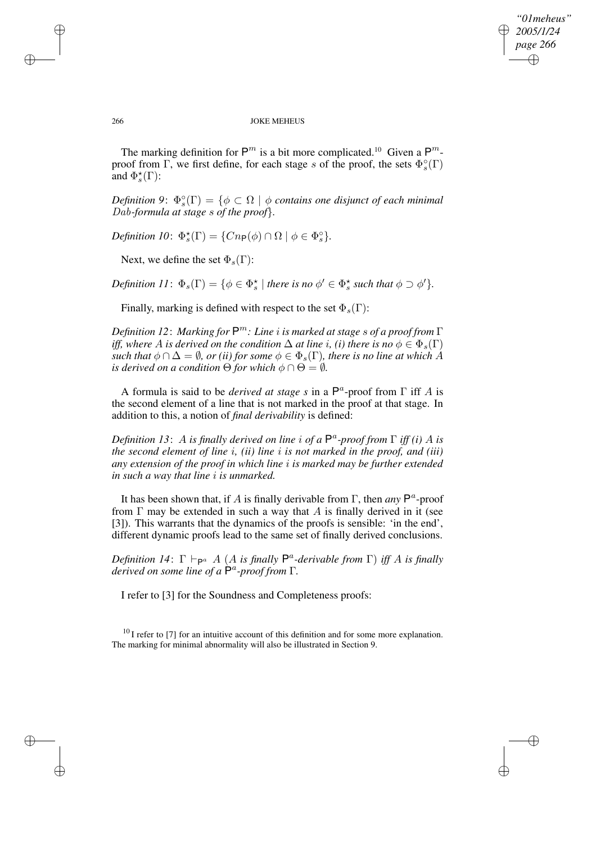✐

### 266 JOKE MEHEUS

The marking definition for  $\mathsf{P}^m$  is a bit more complicated.<sup>10</sup> Given a  $\mathsf{P}^m$ proof from  $\Gamma$ , we first define, for each stage s of the proof, the sets  $\Phi_s^{\circ}(\Gamma)$ and  $\Phi_s^{\star}(\Gamma)$ :

 $Definition 9: \ \Phi_s^{\circ}(\Gamma) = \{ \phi \subset \Omega \mid \phi \text{ contains one distinct of each minimal } \}$ Dab*-formula at stage* s *of the proof*}*.*

*Definition 10*:  $\Phi_s^{\star}(\Gamma) = \{Cn_P(\phi) \cap \Omega \mid \phi \in \Phi_s^{\circ}\}.$ 

Next, we define the set  $\Phi_s(\Gamma)$ :

*Definition*  $11: \Phi_s(\Gamma) = \{ \phi \in \Phi_s^{\star} \mid \text{there is no } \phi' \in \Phi_s^{\star} \text{ such that } \phi \supset \phi' \}.$ 

Finally, marking is defined with respect to the set  $\Phi_s(\Gamma)$ :

*Definition 12*: *Marking for* P <sup>m</sup>*: Line* i *is marked at stage* s *of a proof from* Γ *iff,* where A is derived on the condition  $\Delta$  at line *i*, *(i)* there is no  $\phi \in \Phi_s(\Gamma)$ *such that*  $\phi \cap \Delta = \emptyset$ *, or (ii) for some*  $\phi \in \Phi_s(\Gamma)$ *, there is no line at which* A *is derived on a condition*  $\Theta$  *for which*  $\phi \cap \Theta = \emptyset$ *.* 

A formula is said to be *derived at stage s* in a  $P^a$ -proof from  $\Gamma$  iff A is the second element of a line that is not marked in the proof at that stage. In addition to this, a notion of *final derivability* is defined:

*Definition 13*: A *is finally derived on line* i *of a* P a *-proof from* Γ *iff (i)* A *is the second element of line* i*, (ii) line* i *is not marked in the proof, and (iii) any extension of the proof in which line* i *is marked may be further extended in such a way that line* i *is unmarked.*

It has been shown that, if A is finally derivable from  $\Gamma$ , then *any*  $P^a$ -proof from  $\Gamma$  may be extended in such a way that A is finally derived in it (see [3]). This warrants that the dynamics of the proofs is sensible: 'in the end', different dynamic proofs lead to the same set of finally derived conclusions.

 $Definition \; 14: \; \Gamma \vdash_{\mathsf{P}^a} A \; (A \; \text{is finally} \; \mathsf{P}^a \text{-}derivable from \; \Gamma) \; \text{iff} \; A \; \text{is finally}$ *derived on some line of a* P a *-proof from* Γ*.*

I refer to [3] for the Soundness and Completeness proofs:

 $^{10}$  I refer to [7] for an intuitive account of this definition and for some more explanation. The marking for minimal abnormality will also be illustrated in Section 9.

✐

✐

✐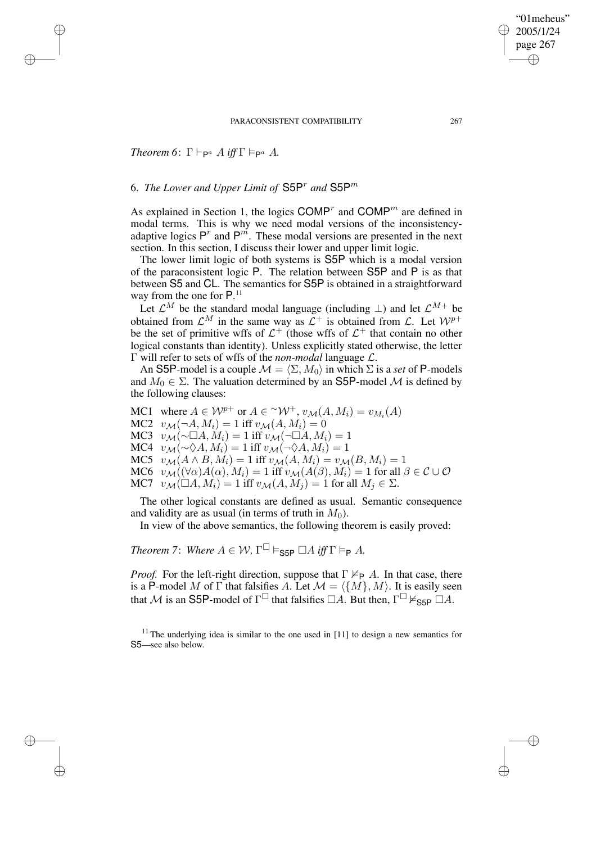# *Theorem* 6:  $\Gamma \vdash_{\mathsf{P}^a} A$  *iff*  $\Gamma \vDash_{\mathsf{P}^a} A$ .

✐

✐

✐

✐

# 6. *The Lower and Upper Limit of* S5P<sup>r</sup> *and* S5P<sup>m</sup>

As explained in Section 1, the logics  $\text{COMP}^r$  and  $\text{COMP}^m$  are defined in modal terms. This is why we need modal versions of the inconsistencyadaptive logics  $P^r$  and  $P^{m}$ . These modal versions are presented in the next section. In this section, I discuss their lower and upper limit logic.

The lower limit logic of both systems is S5P which is a modal version of the paraconsistent logic P. The relation between S5P and P is as that between S5 and CL. The semantics for S5P is obtained in a straightforward way from the one for  $P^{11}$ .

Let  $\mathcal{L}^M$  be the standard modal language (including  $\perp$ ) and let  $\mathcal{L}^{M+}$  be obtained from  $\mathcal{L}^M$  in the same way as  $\mathcal{L}^+$  is obtained from  $\mathcal{L}$ . Let  $\mathcal{W}^{p+}$ be the set of primitive wffs of  $\mathcal{L}^+$  (those wffs of  $\mathcal{L}^+$  that contain no other logical constants than identity). Unless explicitly stated otherwise, the letter Γ will refer to sets of wffs of the *non-modal* language L.

An S5P-model is a couple  $\mathcal{M} = \langle \Sigma, M_0 \rangle$  in which  $\Sigma$  is a *set* of P-models and  $M_0 \in \Sigma$ . The valuation determined by an S5P-model M is defined by the following clauses:

MC1 where  $A \in \mathcal{W}^{p+}$  or  $A \in {}^{\sim} \mathcal{W}^+$ ,  $v_{\mathcal{M}}(A, M_i) = v_{M_i}(A)$ MC2  $v_M(\neg A, M_i) = 1$  iff  $v_M(A, M_i) = 0$ MC3  $v_{\mathcal{M}}(\sim \Box A, M_i) = 1$  iff  $v_{\mathcal{M}}(\neg \Box A, M_i) = 1$ MC4  $v_{\mathcal{M}}(\sim \Diamond A, M_i) = 1$  iff  $v_{\mathcal{M}}(\neg \Diamond A, M_i) = 1$ MC5  $v_{\mathcal{M}}(A \wedge B, M_i) = 1$  iff  $v_{\mathcal{M}}(A, M_i) = v_{\mathcal{M}}(B, M_i) = 1$ MC6  $v_{\mathcal{M}}((\forall \alpha)A(\alpha), M_i) = 1$  iff  $v_{\mathcal{M}}(A(\beta), M_i) = 1$  for all  $\beta \in \mathcal{C} \cup \mathcal{O}$ MC7  $v_{\mathcal{M}}(\square A, M_i) = 1$  iff  $v_{\mathcal{M}}(A, M_i) = 1$  for all  $M_i \in \Sigma$ .

The other logical constants are defined as usual. Semantic consequence and validity are as usual (in terms of truth in  $M_0$ ).

In view of the above semantics, the following theorem is easily proved:

*Theorem* 7: *Where*  $A \in W$ ,  $\Gamma^{\square} \models_{\mathsf{S5P}} \square A$  *iff*  $\Gamma \models_{\mathsf{P}} A$ .

*Proof.* For the left-right direction, suppose that  $\Gamma \nvDash_{\mathsf{P}} A$ . In that case, there is a P-model M of  $\Gamma$  that falsifies A. Let  $\mathcal{M} = \langle \{M\}, M \rangle$ . It is easily seen that M is an S5P-model of  $\Gamma^{\square}$  that falsifies  $\Box A$ . But then,  $\Gamma^{\square} \nvDash_{\text{S5P}} \square A$ .

"01meheus" 2005/1/24 page 267

✐

✐

✐

 $11$ <sup>11</sup> The underlying idea is similar to the one used in [11] to design a new semantics for S5—see also below.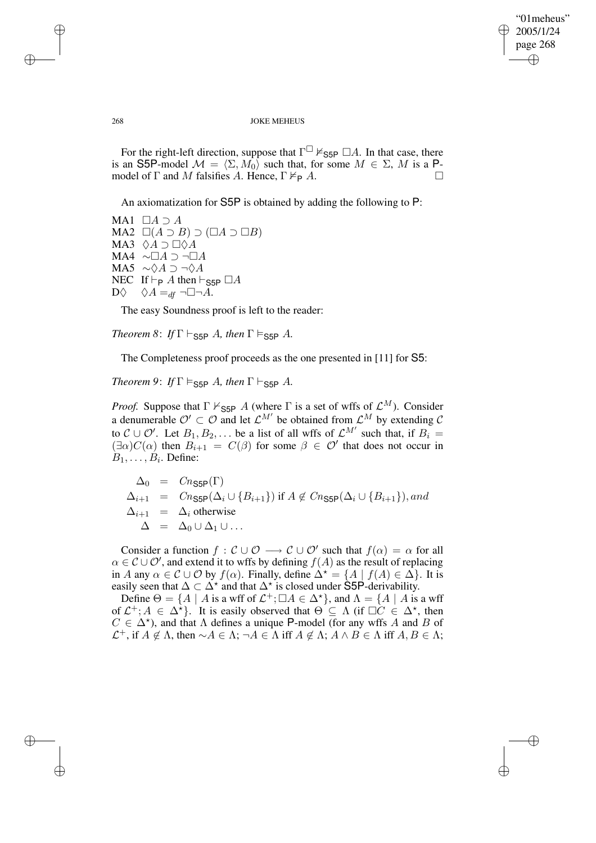✐

### 268 JOKE MEHEUS

For the right-left direction, suppose that  $\Gamma^{\square} \nvDash_{\text{S5P}} \square A$ . In that case, there is an S5P-model  $\mathcal{M} = \langle \Sigma, M_0 \rangle$  such that, for some  $M \in \Sigma$ , M is a Pmodel of  $\Gamma$  and  $M$  falsifies  $A$ . Hence,  $\Gamma \not\models_{\mathsf{P}} A$ .

An axiomatization for S5P is obtained by adding the following to P:

MA1  $\Box A \supset A$ MA2  $\square(A \supset B) \supset (\square A \supset \square B)$ MA3  $\Diamond A \supset \Box \Diamond A$ MA4 ∼ $\Box A$  ⊃ ¬ $\Box A$ MA5  $\sim \Diamond A \supset \neg \Diamond A$ NEC If  $\vdash_{\mathsf{P}} A$  then  $\vdash_{\mathsf{S5P}} \Box A$ <br>D $\Diamond A =_{df} \neg \Box \neg A$ .  $\Diamond A =_{df} \neg \Box \neg A$ .

The easy Soundness proof is left to the reader:

*Theorem* 8: *If*  $\Gamma \vdash_{\textsf{S5P}} A$ *, then*  $\Gamma \models_{\textsf{S5P}} A$ *.* 

The Completeness proof proceeds as the one presented in [11] for S5:

*Theorem* 9: *If*  $\Gamma \models_{\text{S5P}} A$ , *then*  $\Gamma \vdash_{\text{S5P}} A$ .

*Proof.* Suppose that  $\Gamma \nvdash_{\text{S5P}} A$  (where  $\Gamma$  is a set of wffs of  $\mathcal{L}^M$ ). Consider a denumerable  $\mathcal{O}' \subset \mathcal{O}$  and let  $\mathcal{L}^{M'}$  be obtained from  $\mathcal{L}^M$  by extending  $\mathcal{C}$ to  $C \cup \mathcal{O}'$ . Let  $B_1, B_2, \ldots$  be a list of all wffs of  $\mathcal{L}^{M'}$  such that, if  $B_i =$  $(\exists \alpha) C(\alpha)$  then  $B_{i+1} = C(\beta)$  for some  $\beta \in \mathcal{O}'$  that does not occur in  $B_1, \ldots, B_i$ . Define:

 $\Delta_0 = Cn_{\text{SSP}}(\Gamma)$  $\Delta_{i+1} = Cn_{\text{S5P}}(\Delta_i \cup \{B_{i+1}\})$  if  $A \notin Cn_{\text{S5P}}(\Delta_i \cup \{B_{i+1}\}),$  and  $\Delta_{i+1}$  =  $\Delta_i$  otherwise  $\Delta = \Delta_0 \cup \Delta_1 \cup ...$ 

Consider a function  $f: \mathcal{C} \cup \mathcal{O} \longrightarrow \mathcal{C} \cup \mathcal{O}'$  such that  $f(\alpha) = \alpha$  for all  $\alpha \in \mathcal{C} \cup \mathcal{O}'$ , and extend it to wffs by defining  $f(A)$  as the result of replacing in A any  $\alpha \in \mathcal{C} \cup \mathcal{O}$  by  $f(\alpha)$ . Finally, define  $\Delta^* = \{A \mid f(A) \in \Delta\}$ . It is easily seen that  $\Delta \subset \Delta^*$  and that  $\Delta^*$  is closed under S5P-derivability.

Define  $\Theta = \{A \mid A \text{ is a wff of } \mathcal{L}^+; \Box A \in \Delta^{\star}\}\)$ , and  $\Lambda = \{A \mid A \text{ is a wff} \}$ of  $\mathcal{L}^+; A \in \Delta^{\star}$ . It is easily observed that  $\Theta \subseteq \Lambda$  (if  $\Box C \in \Delta^{\star}$ , then  $C \in \Delta^*$ ), and that  $\Lambda$  defines a unique P-model (for any wffs A and B of  $\mathcal{L}^+$ , if  $A \notin \Lambda$ , then  $\sim A \in \Lambda$ ; ¬ $A \in \Lambda$  iff  $A \notin \Lambda$ ;  $A \wedge B \in \Lambda$  iff  $A, B \in \Lambda$ ;

✐

✐

✐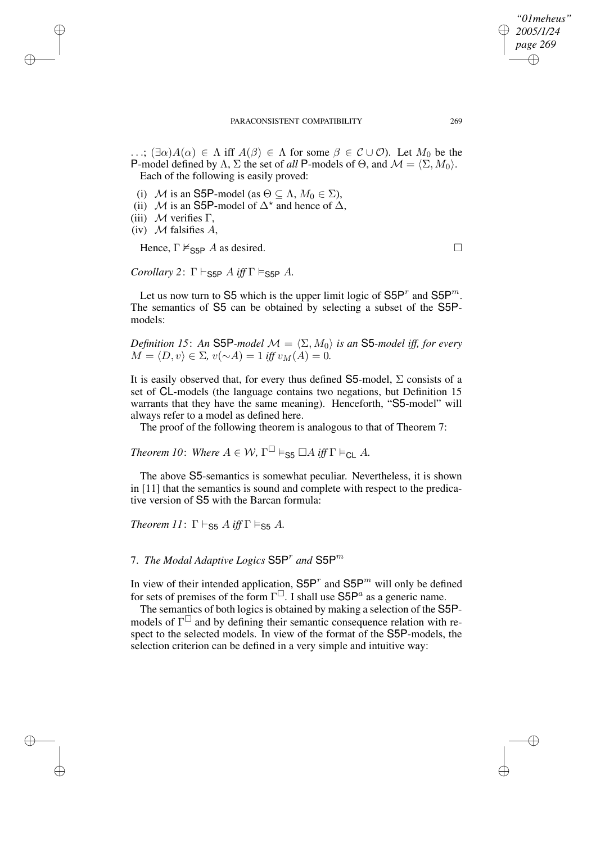✐

#### PARACONSISTENT COMPATIBILITY 269

...;  $(\exists \alpha)A(\alpha) \in \Lambda$  iff  $A(\beta) \in \Lambda$  for some  $\beta \in C \cup \mathcal{O}$ . Let  $M_0$  be the P-model defined by  $\Lambda$ ,  $\Sigma$  the set of *all* P-models of  $\Theta$ , and  $\mathcal{M} = \langle \Sigma, M_0 \rangle$ . Each of the following is easily proved:

- (i) M is an S5P-model (as  $\Theta \subseteq \Lambda$ ,  $M_0 \in \Sigma$ ),
- (ii) M is an S5P-model of  $\Delta^*$  and hence of  $\Delta$ ,
- (iii)  $M$  verifies  $\Gamma$ ,

✐

✐

✐

✐

(iv)  $M$  falsifies  $A$ ,

Hence,  $\Gamma \not\vDash_{\text{S5P}} A$  as desired.

*Corollary* 2:  $\Gamma \vdash_{\mathsf{S5P}} A$  *iff*  $\Gamma \vDash_{\mathsf{S5P}} A$ .

Let us now turn to S5 which is the upper limit logic of  $S5P<sup>r</sup>$  and  $S5P<sup>m</sup>$ . The semantics of S5 can be obtained by selecting a subset of the S5Pmodels:

*Definition 15*: An S5P*-model*  $\mathcal{M} = \langle \Sigma, M_0 \rangle$  *is an* S5*-model iff, for every*  $M = \langle D, v \rangle \in \Sigma$ ,  $v(\sim A) = 1$  *iff*  $v_M(A) = 0$ .

It is easily observed that, for every thus defined  $S5$ -model,  $\Sigma$  consists of a set of CL-models (the language contains two negations, but Definition 15 warrants that they have the same meaning). Henceforth, "S5-model" will always refer to a model as defined here.

The proof of the following theorem is analogous to that of Theorem 7:

*Theorem 10: Where*  $A \in W$ ,  $\Gamma^{\square} \vDash_{\mathsf{S5}} \square A$  *iff*  $\Gamma \vDash_{\mathsf{CL}} A$ *.* 

The above S5-semantics is somewhat peculiar. Nevertheless, it is shown in [11] that the semantics is sound and complete with respect to the predicative version of S5 with the Barcan formula:

*Theorem* 11:  $\Gamma \vdash_{\mathsf{S5}} A$  *iff*  $\Gamma \vDash_{\mathsf{S5}} A$ *.* 

# 7. *The Modal Adaptive Logics* S5P<sup>r</sup> *and* S5P<sup>m</sup>

In view of their intended application,  $S5P<sup>r</sup>$  and  $S5P<sup>m</sup>$  will only be defined for sets of premises of the form  $\Gamma^{\square}$ . I shall use S5P<sup>a</sup> as a generic name.

The semantics of both logics is obtained by making a selection of the S5Pmodels of  $\Gamma^{\square}$  and by defining their semantic consequence relation with respect to the selected models. In view of the format of the S5P-models, the selection criterion can be defined in a very simple and intuitive way: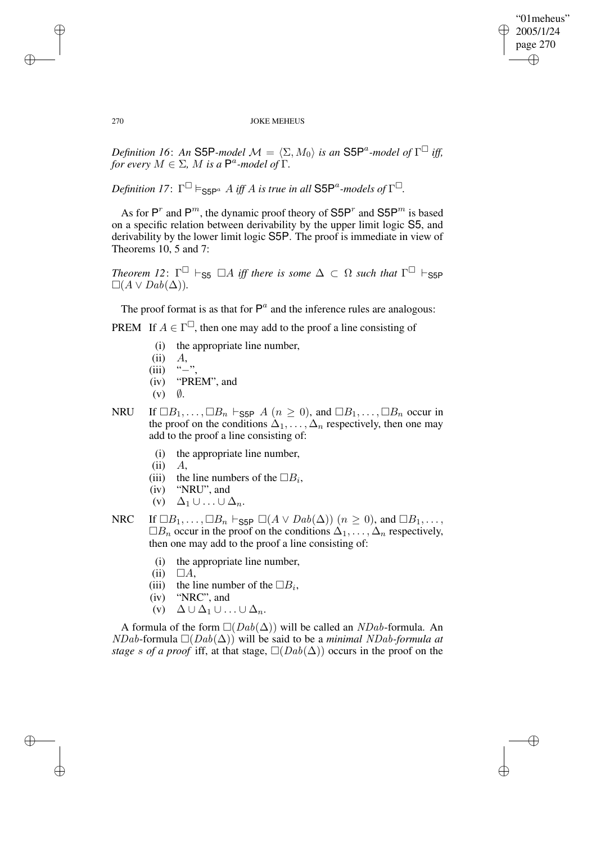✐

### 270 JOKE MEHEUS

*Definition 16: An* S5P*-model*  $\mathcal{M} = \langle \Sigma, M_0 \rangle$  *is an* S5P<sup>a</sup>-model of  $\Gamma^{\Box}$  iff, *for every*  $M \in \Sigma$ , *M is a*  $\mathsf{P}^a$ -model of  $\Gamma$ .

 $D$ efinition 17:  $\Gamma^{\Box} \vDash_{\mathsf{S5P}^{a}} A$  iff A is true in all  $\mathsf{S5P}^{a}$ -models of  $\Gamma^{\Box}$ .

As for  $P^r$  and  $P^m$ , the dynamic proof theory of  $S5P^r$  and  $S5P^m$  is based on a specific relation between derivability by the upper limit logic S5, and derivability by the lower limit logic S5P. The proof is immediate in view of Theorems 10, 5 and 7:

*Theorem* 12:  $\Gamma^{\square}$   $\vdash$   $_{S5}$   $\square A$  *iff there is some*  $\Delta \subset \Omega$  *such that*  $\Gamma^{\square}$   $\vdash$   $_{S5P}$  $\Box(A \vee Da b(\Delta)).$ 

The proof format is as that for  $P^a$  and the inference rules are analogous:

PREM If  $A \in \Gamma^{\square}$ , then one may add to the proof a line consisting of

- (i) the appropriate line number,
- (ii)  $A$ ,<br>(iii) "-"
- $(iii)$
- (iv) "PREM", and
- $(v)$   $\emptyset$ .
- NRU If  $\Box B_1, \ldots, \Box B_n \vdash_{\mathsf{S5P}} A$   $(n \geq 0)$ , and  $\Box B_1, \ldots, \Box B_n$  occur in the proof on the conditions  $\Delta_1, \ldots, \Delta_n$  respectively, then one may add to the proof a line consisting of:
	- (i) the appropriate line number,
	- (ii)  $A$ ,<br>(iii) the
	- (iii) the line numbers of the  $\Box B_i$ ,
	- (iv) "NRU", and
	- (v)  $\Delta_1 \cup ... \cup \Delta_n$ .

NRC If  $\Box B_1, \ldots, \Box B_n \vdash_{\textsf{S5P}} \Box(A \lor \textit{Dab}(\Delta))$   $(n \geq 0)$ , and  $\Box B_1, \ldots,$  $\Box B_n$  occur in the proof on the conditions  $\Delta_1, \ldots, \Delta_n$  respectively, then one may add to the proof a line consisting of:

- (i) the appropriate line number,
- $(ii) \square A,$
- (iii) the line number of the  $\Box B_i$ ,
- (iv) "NRC", and
- (v)  $\Delta \cup \Delta_1 \cup ... \cup \Delta_n$ .

A formula of the form  $\Box(Dab(\Delta))$  will be called an *NDab*-formula. An  $NDab$ -formula  $\Box(Dab(\Delta))$  will be said to be a *minimal NDab-formula* at *stage* s of *a* proof iff, at that stage,  $\Box(Dab(\Delta))$  occurs in the proof on the

 $\rightarrow$ 

 $\rightarrow$ 

✐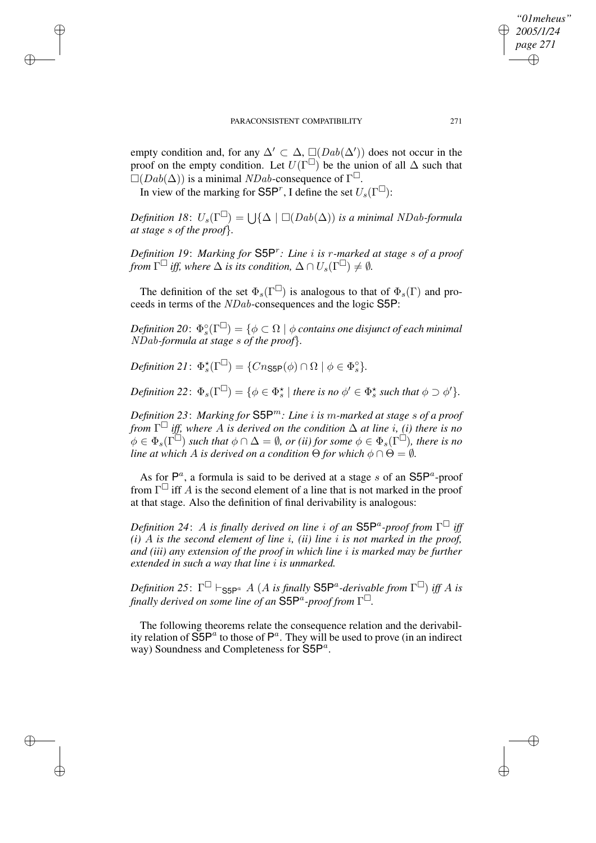empty condition and, for any  $\Delta' \subset \Delta$ ,  $\Box(Dab(\Delta'))$  does not occur in the proof on the empty condition. Let  $U(\Gamma^{\square})$  be the union of all  $\Delta$  such that  $\square(Dab(\Delta))$  is a minimal *NDab*-consequence of  $\Gamma^{\square}$ .

In view of the marking for S5P<sup>r</sup>, I define the set  $U_s(\Gamma^{\square})$ :

 $\rightarrow$ 

 $\rightarrow$ 

✐

✐

 $Definition \; 18 \colon U_s(\Gamma^{\square}) = \bigcup \{ \Delta \mid \square (Dab(\Delta)) \; is \; a \; minimal \; NDab-formula \}$ *at stage* s *of the proof*}*.*

*Definition 19*: *Marking for* S5P<sup>r</sup> *: Line* i *is* r*-marked at stage* s *of a proof from*  $\Gamma^{\square}$  *iff, where*  $\Delta$  *is its condition,*  $\Delta \cap U_s(\Gamma^{\square}) \neq \emptyset$ *.* 

The definition of the set  $\Phi_s(\Gamma^{\square})$  is analogous to that of  $\Phi_s(\Gamma)$  and proceeds in terms of the NDab-consequences and the logic S5P:

 $\emph{Definition 20: } \ \Phi_s^{\circ}(\Gamma^\square) = \{ \phi \subset \Omega \ | \ \phi \text{ contains one distinct of each minimal } \}$ NDab*-formula at stage* s *of the proof*}*.*

*Definition* 21:  $\Phi_s^{\star}(\Gamma^{\square}) = \{Cn_{\text{S5P}}(\phi) \cap \Omega \mid \phi \in \Phi_s^{\circ}\}.$ 

 $\textit{Definition 22: } \Phi_s(\Gamma^\square) = \{\phi \in \Phi_s^\star \mid \textit{there is no } \phi' \in \Phi_s^\star \textit{ such that } \phi \supset \phi'\}.$ 

*Definition 23*: *Marking for* S5Pm*: Line* i *is* m*-marked at stage* s *of a proof from* Γ *iff, where* A *is derived on the condition* ∆ *at line* i*, (i) there is no*  $\phi \in \Phi_s(\Gamma^{\square})$  *such that*  $\phi \cap \Delta = \emptyset$ , *or (ii) for some*  $\phi \in \Phi_s(\Gamma^{\square})$ *, there is no line at which A is derived on a condition*  $\Theta$  *for which*  $\phi \cap \Theta = \emptyset$ *.* 

As for  $\mathsf{P}^a$ , a formula is said to be derived at a stage s of an  $\mathsf{S5P}^a$ -proof from  $\Gamma^{\square}$  iff A is the second element of a line that is not marked in the proof at that stage. Also the definition of final derivability is analogous:

*Definition 24*: A *is finally derived on line* i *of an* S5P<sup>a</sup> *-proof from* Γ *iff*  $(i)$  A *is* the second element of line *i*, *(ii)* line *i is* not marked in the proof, *and (iii) any extension of the proof in which line* i *is marked may be further extended in such a way that line* i *is unmarked.*

 $D$ efinition 25:  $\Gamma^{\Box} \vdash_{\mathsf{SSP}^a} A$  (A is finally  $\mathsf{SSP}^a$ -derivable from  $\Gamma^{\Box}$ ) iff A is *finally derived on some line of an* S5P<sup>a</sup> *-proof from* Γ *.*

The following theorems relate the consequence relation and the derivability relation of  $\overline{S5P}^{a}$  to those of  $P^{a}$ . They will be used to prove (in an indirect way) Soundness and Completeness for  $S5P^a$ .

*"01meheus" 2005/1/24 page 271*

✐

✐

✐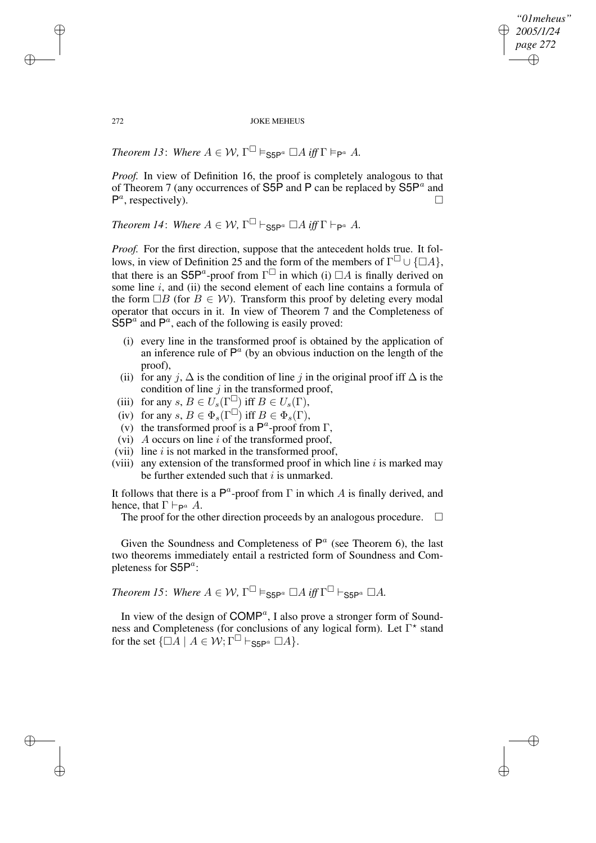*"01meheus" 2005/1/24 page 272* ✐ ✐

✐

✐

272 JOKE MEHEUS

*Theorem 13: Where*  $A \in W$ ,  $\Gamma^{\square} \vDash_{\mathsf{S5P}^a} \square A$  *iff*  $\Gamma \vDash_{\mathsf{P}^a} A$ *.* 

*Proof.* In view of Definition 16, the proof is completely analogous to that of Theorem 7 (any occurrences of  $S5\overline{P}$  and P can be replaced by  $S5P^a$  and  $P^a$ , respectively).

*Theorem 14: Where*  $A \in W$ ,  $\Gamma^{\square} \vdash_{\mathsf{S5P}^a} \square A$  *iff*  $\Gamma \vdash_{\mathsf{P}^a} A$ *.* 

*Proof.* For the first direction, suppose that the antecedent holds true. It follows, in view of Definition 25 and the form of the members of  $\Gamma^{\Box} \cup \{\Box A\},\$ that there is an S5P<sup>a</sup>-proof from  $\Gamma^{\square}$  in which (i)  $\Box A$  is finally derived on some line  $i$ , and (ii) the second element of each line contains a formula of the form  $\Box B$  (for  $B \in W$ ). Transform this proof by deleting every modal operator that occurs in it. In view of Theorem 7 and the Completeness of  $S5P^a$  and  $P^a$ , each of the following is easily proved:

- (i) every line in the transformed proof is obtained by the application of an inference rule of  $P^a$  (by an obvious induction on the length of the proof),
- (ii) for any j,  $\Delta$  is the condition of line j in the original proof iff  $\Delta$  is the condition of line  $j$  in the transformed proof,
- (iii) for any  $s, B \in U_s(\Gamma^{\square})$  iff  $B \in U_s(\Gamma)$ ,
- (iv) for any  $s, B \in \Phi_s(\Gamma^{\square})$  iff  $B \in \Phi_s(\Gamma)$ ,
- (v) the transformed proof is a  $\mathsf{P}^a$ -proof from  $\Gamma$ ,
- (vi)  $\overline{A}$  occurs on line  $i$  of the transformed proof,
- (vii) line  $i$  is not marked in the transformed proof,
- (viii) any extension of the transformed proof in which line  $i$  is marked may be further extended such that  $i$  is unmarked.

It follows that there is a  $\mathsf{P}^a$ -proof from  $\Gamma$  in which A is finally derived, and hence, that  $\Gamma \vdash_{\mathsf{P}^a} A$ .

The proof for the other direction proceeds by an analogous procedure.  $\Box$ 

Given the Soundness and Completeness of  $P^a$  (see Theorem 6), the last two theorems immediately entail a restricted form of Soundness and Completeness for  $\mathsf{S5P}^a$ :

*Theorem 15: Where*  $A \in W$ ,  $\Gamma^{\square} \models_{\mathsf{S5P}^a} \square A$  *iff*  $\Gamma^{\square} \vdash_{\mathsf{S5P}^a} \square A$ *.* 

In view of the design of  $COMP^a$ , I also prove a stronger form of Soundness and Completeness (for conclusions of any logical form). Let Γ<sup>\*</sup> stand for the set  $\{\Box A \mid A \in \mathcal{W}; \Gamma^{\Box} \vdash_{\mathsf{S5P}^a} \Box A\}.$ 

 $\rightarrow$ 

 $\rightarrow$ 

✐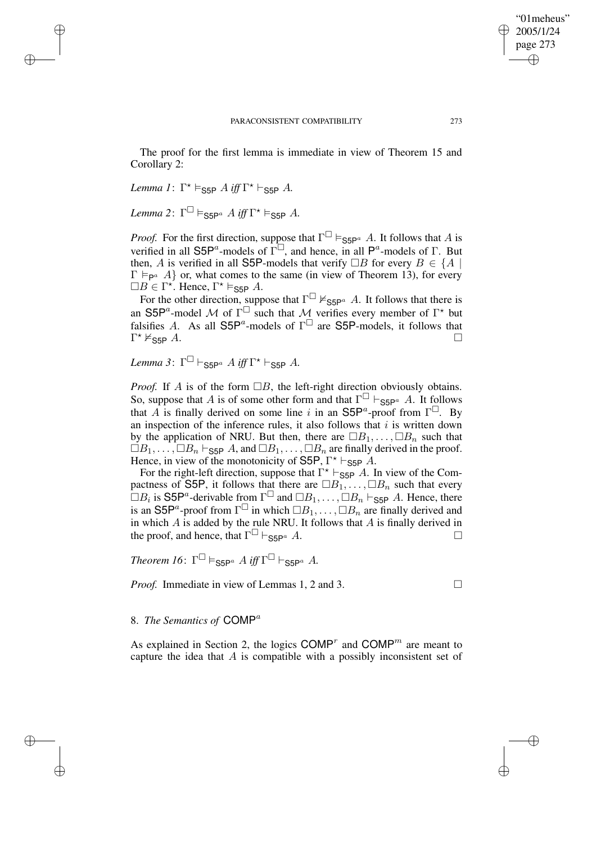The proof for the first lemma is immediate in view of Theorem 15 and

*Lemma 1*:  $\Gamma^* \models_{\text{S5P}} A \text{ iff } \Gamma^* \vdash_{\text{S5P}} A$ .

Corollary 2:

 $\rightarrow$ 

 $\rightarrow$ 

✐

✐

 $Lemma 2: \ \Gamma^{\square} \vDash_{\mathsf{S5P}^a} A \textit{ iff } \Gamma^{\star} \vDash_{\mathsf{S5P}} A.$ 

*Proof.* For the first direction, suppose that  $\Gamma^{\Box} \models_{\mathsf{S5P}^a} A$ . It follows that A is verified in all S5P<sup>*a*</sup>-models of  $\Gamma^{\square}$ , and hence, in all P<sup>*a*</sup>-models of  $\Gamma$ . But then, A is verified in all S5P-models that verify  $\Box B$  for every  $B \in \{A \mid$  $\Gamma \vDash_{\mathsf{P}^a} A$  or, what comes to the same (in view of Theorem 13), for every  $\Box B \in \Gamma^*$ . Hence,  $\Gamma^* \vDash_{\text{S5P}} A$ .

For the other direction, suppose that  $\Gamma^{\square} \nvDash_{\text{S5P}^a} A$ . It follows that there is an S5P<sup>a</sup>-model M of  $\Gamma^{\square}$  such that M verifies every member of  $\Gamma^*$  but falsifies A. As all  $S5P^a$ -models of  $\Gamma^{\square}$  are S5P-models, it follows that  $\Gamma^\star\nvdash_{\mathsf{S5P}} A.$ 

 $Lemma 3: \Gamma^{\square} \vdash_{\mathsf{S5P}^a} A \text{ iff } \Gamma^{\star} \vdash_{\mathsf{S5P}} A.$ 

*Proof.* If A is of the form  $\Box B$ , the left-right direction obviously obtains. So, suppose that A is of some other form and that  $\Gamma^{\Box} \vdash_{\textsf{S5P}^a} A$ . It follows that A is finally derived on some line i in an  $\text{S5P}^a$ -proof from  $\Gamma^{\square}$ . By an inspection of the inference rules, it also follows that  $i$  is written down by the application of NRU. But then, there are  $\Box B_1, \ldots, \Box B_n$  such that  $\Box B_1, \ldots, \Box B_n \vdash_{\textsf{S5P}} A$ , and  $\Box B_1, \ldots, \Box B_n$  are finally derived in the proof. Hence, in view of the monotonicity of S5P,  $\Gamma^* \vdash_{\text{S5P}} A$ .

For the right-left direction, suppose that  $\Gamma^* \vdash_{\text{S5P}} A$ . In view of the Compactness of S5P, it follows that there are  $\Box B_1, \ldots, \Box B_n$  such that every  $\Box B_i$  is S5P<sup>a</sup>-derivable from  $\Gamma^{\Box}$  and  $\Box B_1, \dots, \Box B_n \vdash_{\textsf{S5P}} A$ . Hence, there is an S5P<sup>a</sup>-proof from  $\Gamma^{\square}$  in which  $\square B_1, \ldots, \square B_n$  are finally derived and in which  $A$  is added by the rule NRU. It follows that  $A$  is finally derived in the proof, and hence, that  $\Gamma^{\Box} \vdash_{\mathbf{S5P}^a} A$ .  $\Box$   $\vdash$   $\mathsf{S5P}^a$  A.

*Theorem 16*:  $\Gamma^{\square} \vDash_{\mathsf{S5P}^a} A$  *iff*  $\Gamma^{\square} \vdash_{\mathsf{S5P}^a} A$ .

*Proof.* Immediate in view of Lemmas 1, 2 and 3. □

✐

✐

# 8. *The Semantics of* COMP<sup>a</sup>

As explained in Section 2, the logics COMP<sup>r</sup> and COMP<sup>m</sup> are meant to capture the idea that A is compatible with a possibly inconsistent set of

"01meheus" 2005/1/24 page 273

✐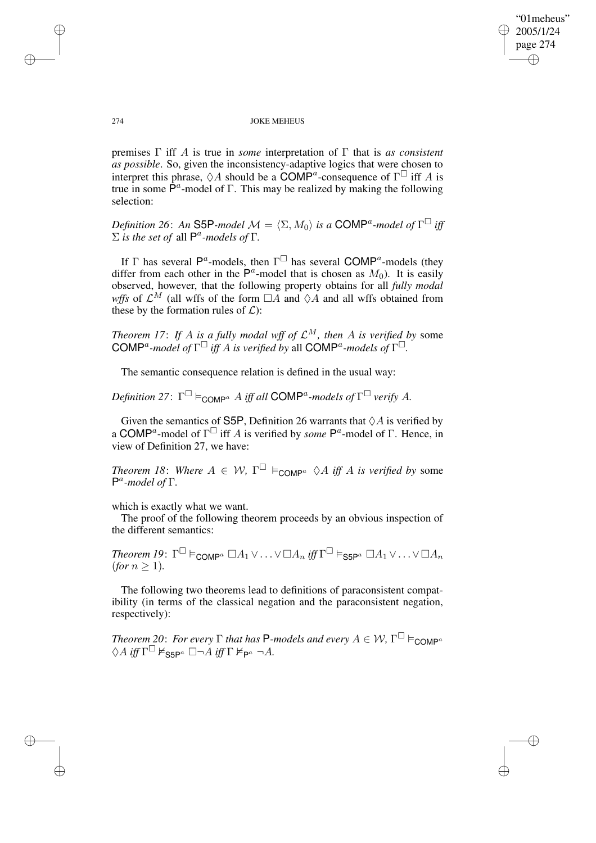✐

### 274 JOKE MEHEUS

premises Γ iff A is true in *some* interpretation of Γ that is *as consistent as possible*. So, given the inconsistency-adaptive logics that were chosen to interpret this phrase,  $\Diamond A$  should be a COMP<sup>a</sup>-consequence of  $\Gamma^{\Box}$  iff A is true in some  $\hat{P}^a$ -model of  $\Gamma$ . This may be realized by making the following selection:

*Definition* 26: An S5P-model  $\mathcal{M} = \langle \Sigma, M_0 \rangle$  is a COMP<sup>a</sup>-model of  $\Gamma^{\square}$  iff  $\Sigma$  *is the set of* all  $\mathsf{P}^a$ -models of  $\Gamma$ .

If  $\Gamma$  has several  $\mathsf{P}^a$ -models, then  $\Gamma^{\square}$  has several COM $\mathsf{P}^a$ -models (they differ from each other in the  $\mathsf{P}^a$ -model that is chosen as  $M_0$ ). It is easily observed, however, that the following property obtains for all *fully modal wffs* of  $\mathcal{L}^M$  (all wffs of the form  $\Box A$  and  $\Diamond A$  and all wffs obtained from these by the formation rules of  $\mathcal{L}$ :

*Theorem 17: If A is a fully modal wff of*  $\mathcal{L}^M$ *, then A is verified by* some  $\mathsf{COMP}^a$ -model of  $\Gamma^\square$  *iff* A *is* verified by all  $\mathsf{COMP}^a$ -models of  $\Gamma^\square$ .

The semantic consequence relation is defined in the usual way:

 $Definition 27: \Gamma^{\square} \models_{\mathsf{COMP}^a} A \text{ iff all } \mathsf{COMP}^a\text{-models of } \Gamma^{\square} \text{ verify } A.$ 

Given the semantics of S5P, Definition 26 warrants that  $\Diamond A$  is verified by a COMP<sup>a</sup>-model of  $\Gamma^{\Box}$  iff A is verified by *some* P<sup>a</sup>-model of  $\Gamma$ . Hence, in view of Definition 27, we have:

*Theorem 18: Where*  $A \in W$ ,  $\Gamma^{\square} \models_{\text{COMP}^a} \Diamond A$  *iff* A *is verified by* some P a *-model of* Γ*.*

which is exactly what we want.

The proof of the following theorem proceeds by an obvious inspection of the different semantics:

 $Theorem$   $I$ 9:  $\Gamma^\square \vDash_{\mathsf{COMP}^a} \square A_1 \vee \ldots \vee \square A_n$  iff  $\Gamma^\square \vDash_{\mathsf{SSP}^a} \square A_1 \vee \ldots \vee \square A_n$  $(for n > 1).$ 

The following two theorems lead to definitions of paraconsistent compatibility (in terms of the classical negation and the paraconsistent negation, respectively):

*Theorem* 20: *For every*  $\Gamma$  *that has* P-models and every  $A \in \mathcal{W}$ ,  $\Gamma^{\square} \vDash_{\mathsf{COMP}^a}$  $\Diamond A \text{ iff } \Gamma^\square \nvDash_{\mathsf{S5P}^a} \square \neg A \text{ iff } \Gamma \nvDash_{\mathsf{P}^a} \neg A.$ 

 $\rightarrow$ 

 $\rightarrow$ 

✐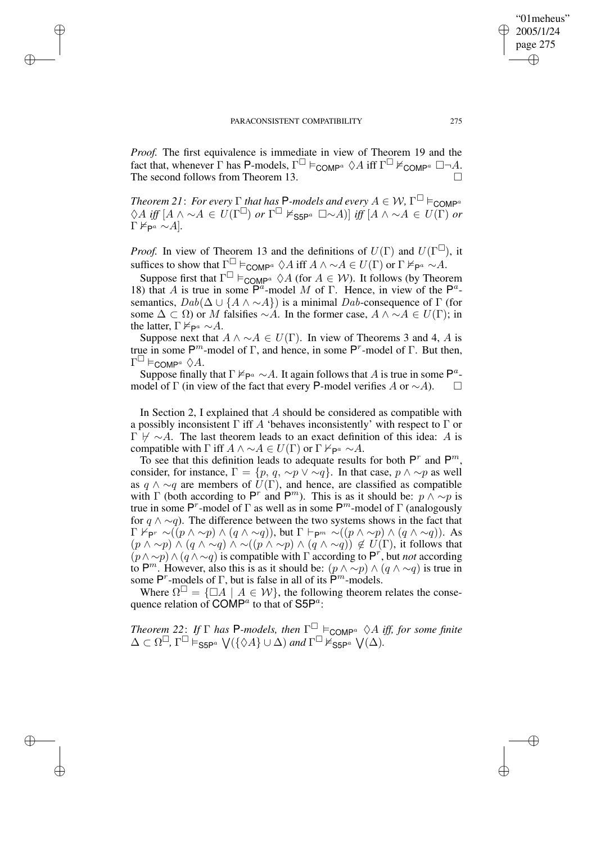$\rightarrow$ 

 $\rightarrow$ 

✐

✐

*Proof.* The first equivalence is immediate in view of Theorem 19 and the fact that, whenever  $\Gamma$  has P-models,  $\Gamma^{\square} \vDash_{\text{COMP}^a} \Diamond A$  iff  $\Gamma^{\square} \nvDash_{\text{COMP}^a} \square \neg A$ . The second follows from Theorem 13.

*Theorem* 21: *For every*  $\Gamma$  *that has* P-models and every  $A \in \mathcal{W}$ ,  $\Gamma^{\square} \vDash_{\mathsf{COMP}^a}$  $\Diamond A$  *iff*  $[A \land \sim A \in U(\Gamma^{\square})$  or  $\Gamma^{\square} \nvDash_{\mathsf{S5P}^a} \square \sim A)]$  *iff*  $[A \land \sim A \in U(\Gamma)$  or  $\Gamma \nvDash_{\mathsf{P}^a} \sim A$ .

*Proof.* In view of Theorem 13 and the definitions of  $U(\Gamma)$  and  $U(\Gamma^{\square})$ , it suffices to show that  $\Gamma^{\square} \vDash_{\text{COMP}^a} \Diamond A$  iff  $A \land \sim A \in U(\Gamma)$  or  $\Gamma \nvDash_{\mathsf{P}^a} \sim A$ .

Suppose first that  $\Gamma^{\square} \models_{\text{COMP}^a} \Diamond A$  (for  $A \in \mathcal{W}$ ). It follows (by Theorem 18) that A is true in some  $\overline{P}^a$ -model M of  $\Gamma$ . Hence, in view of the  $\mathsf{P}^a$ semantics,  $Dab(\Delta \cup \{A \wedge \sim A\})$  is a minimal Dab-consequence of  $\Gamma$  (for some  $\Delta \subset \Omega$ ) or M falsifies ∼A. In the former case,  $A \wedge \sim A \in U(\Gamma)$ ; in the latter,  $\Gamma \not\models_{\mathsf{P}^a} \sim A$ .

Suppose next that  $A \wedge \neg A \in U(\Gamma)$ . In view of Theorems 3 and 4, A is true in some  $P^m$ -model of Γ, and hence, in some  $P^r$ -model of Γ. But then,  $\Gamma^\square \vDash_{\mathsf{COMP}^a} \Diamond A.$ 

Suppose finally that  $\Gamma \nvDash_{\mathsf{P}^a} \sim A$ . It again follows that A is true in some  $\mathsf{P}^a$ model of Γ (in view of the fact that every P-model verifies A or  $\sim$ A).  $\Box$ 

In Section 2, I explained that  $A$  should be considered as compatible with a possibly inconsistent  $\Gamma$  iff A 'behaves inconsistently' with respect to  $\Gamma$  or  $\Gamma \not\vdash \sim A$ . The last theorem leads to an exact definition of this idea: A is compatible with  $\Gamma$  iff  $A \wedge \neg A \in U(\Gamma)$  or  $\Gamma \nvdash_{\mathsf{P}^a} \neg A$ .

To see that this definition leads to adequate results for both  $P^r$  and  $P^m$ , consider, for instance,  $\Gamma = \{p, q, \sim p \lor \sim q\}$ . In that case,  $p \land \sim p$  as well as  $q \wedge \sim q$  are members of  $U(\Gamma)$ , and hence, are classified as compatible with  $\Gamma$  (both according to P<sup>r</sup> and P<sup>m</sup>). This is as it should be:  $p \wedge \sim p$  is true in some P<sup>r</sup>-model of  $\Gamma$  as well as in some P<sup>m</sup>-model of  $\Gamma$  (analogously for  $q \wedge \neg q$ ). The difference between the two systems shows in the fact that  $\Gamma \nvdash_{\mathsf{P}^r} \neg((p \land \sim p) \land (q \land \sim q)),$  but  $\Gamma \vdash_{\mathsf{P}^m} \neg((p \land \sim p) \land (q \land \sim q)).$  As  $(p \wedge \sim p) \wedge (q \wedge \sim q) \wedge \sim ((p \wedge \sim p) \wedge (q \wedge \sim q)) \notin U(\Gamma)$ , it follows that  $(p \wedge \neg p) \wedge (q \wedge \neg q)$  is compatible with  $\Gamma$  according to P<sup>r</sup>, but *not* according to P<sup>m</sup>. However, also this is as it should be:  $(p \wedge \sim p) \wedge (q \wedge \sim q)$  is true in some  $P^r$ -models of  $\Gamma$ , but is false in all of its  $\tilde{P}^m$ -models.

Where  $\Omega^{\square} = {\square A \mid A \in \mathcal{W}}$ , the following theorem relates the consequence relation of COMP<sup>a</sup> to that of S5P<sup>a</sup>:

*Theorem* 22: *If*  $\Gamma$  *has* P*-models, then*  $\Gamma^{\square}$   $\models$  COMP<sup>a</sup>  $\Diamond A$  *iff, for some finite*  $\Delta \subset \Omega^{\square}$ ,  $\Gamma^{\square} \vDash_{\mathsf{S5P}^a} \mathsf{V}(\{\Diamond A\} \cup \Delta)$  and  $\Gamma^{\square} \nvDash_{\mathsf{S5P}^a} \mathsf{V}(\Delta)$ .

"01meheus" 2005/1/24 page 275

✐

✐

✐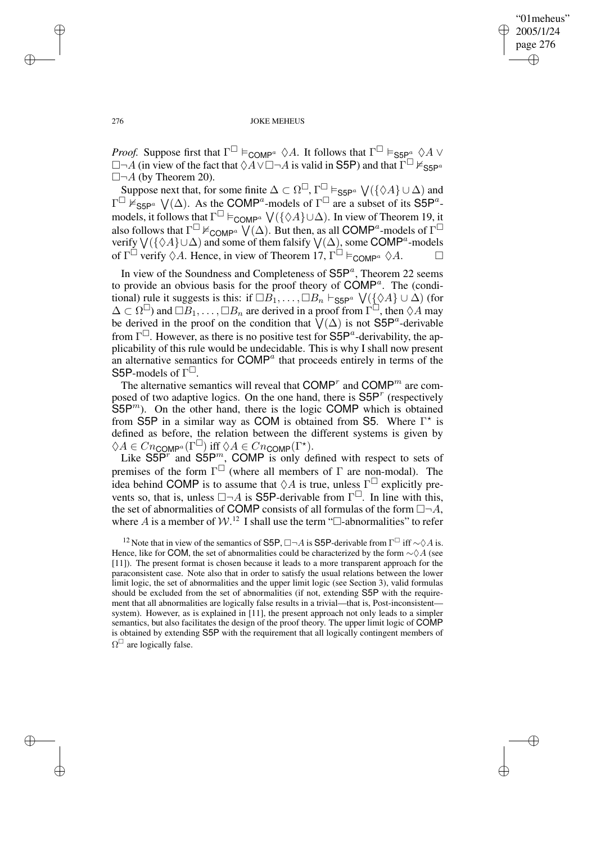"01meheus" 2005/1/24 page 276 ✐ ✐

✐

✐

### 276 JOKE MEHEUS

*Proof.* Suppose first that  $\Gamma^{\Box} \models_{\text{COMP}^a} \Diamond A$ . It follows that  $\Gamma^{\Box} \models_{\text{S5P}^a} \Diamond A \lor \Box$  $\Box \neg A$  (in view of the fact that  $\Diamond A \lor \Box \neg A$  is valid in S5P) and that  $\Gamma^{\Box} \nvDash_{\mathsf{S5P}^a}$  $\Box \neg A$  (by Theorem 20).

Suppose next that, for some finite  $\Delta \subset \Omega^{\square}$ ,  $\Gamma^{\square} \models_{\mathsf{S5P}^a} \bigvee (\{\Diamond A\} \cup \Delta)$  and  $\Gamma^{\square}$   $\mathbb{F}_{\mathsf{S5P}^a}$   $\bigvee(\Delta)$ . As the COMP<sup>a</sup>-models of  $\Gamma^{\square}$  are a subset of its S5P<sup>a</sup>models, it follows that  $\Gamma^{\Box} \models_{\text{COMP}^a} \bigvee (\{\Diamond A\} \cup \Delta)$ . In view of Theorem 19, it also follows that  $\Gamma^{\square} \nvDash_{\text{COMP}^a} \bigvee (\Delta)$ . But then, as all COMP<sup>a</sup>-models of  $\Gamma^{\square}$ verify  $\bigvee (\{\Diamond A\} \cup \Delta)$  and some of them falsify  $\bigvee (\Delta)$ , some COMP<sup>a</sup>-models of  $\Gamma^{\Box}$  verify  $\Diamond A$ . Hence, in view of Theorem 17,  $\Gamma^{\Box} \models_{\text{COMP}^a} \Diamond A$ .

In view of the Soundness and Completeness of  $S5P<sup>a</sup>$ , Theorem 22 seems to provide an obvious basis for the proof theory of  $\mathsf{COMP}^a$ . The (conditional) rule it suggests is this: if  $\Box B_1, \dots, \Box B_n \vdash_{\mathsf{S5P}^a} \bigvee (\{\Diamond A\} \cup \Delta)$  (for  $\Delta \subset \Omega^{\square}$ ) and  $\Box B_1, \ldots, \Box B_n$  are derived in a proof from  $\Gamma^{\square}$ , then  $\Diamond A$  may be derived in the proof on the condition that  $\sqrt{(}\Delta)$  is not S5P<sup>a</sup>-derivable from  $\Gamma^{\square}$ . However, as there is no positive test for  $S5P^a$ -derivability, the applicability of this rule would be undecidable. This is why I shall now present an alternative semantics for  $\text{COMP}^a$  that proceeds entirely in terms of the S5P-models of  $\Gamma^{\square}$ .

The alternative semantics will reveal that  $\text{COMP}^r$  and  $\text{COMP}^m$  are composed of two adaptive logics. On the one hand, there is  $S5P<sup>r</sup>$  (respectively  $S5P<sup>m</sup>$ ). On the other hand, there is the logic COMP which is obtained from S5P in a similar way as COM is obtained from S5. Where  $\Gamma^*$  is defined as before, the relation between the different systems is given by  $\Diamond A \in Cn_{\mathsf{COMP}^a}(\Gamma^\square)$  iff  $\Diamond A \in Cn_{\mathsf{COMP}}(\Gamma^\star)$ .

Like  $S5P^{r}$  and  $S5P^{m}$ , COMP is only defined with respect to sets of premises of the form  $\Gamma^{\square}$  (where all members of  $\Gamma$  are non-modal). The idea behind COMP is to assume that  $\Diamond A$  is true, unless  $\Gamma^{\Box}$  explicitly prevents so, that is, unless  $\square \neg A$  is S5P-derivable from  $\Gamma^{\square}$ . In line with this, the set of abnormalities of COMP consists of all formulas of the form  $\Box \neg A$ , where A is a member of  $W<sup>12</sup>$  I shall use the term " $\Box$ -abnormalities" to refer

 $\rightarrow$ 

 $\rightarrow$ 

✐

<sup>&</sup>lt;sup>12</sup> Note that in view of the semantics of S5P,  $\Box \neg A$  is S5P-derivable from  $\Gamma^{\Box}$  iff  $\sim \Diamond A$  is. Hence, like for COM, the set of abnormalities could be characterized by the form  $\sim \Diamond A$  (see [11]). The present format is chosen because it leads to a more transparent approach for the paraconsistent case. Note also that in order to satisfy the usual relations between the lower limit logic, the set of abnormalities and the upper limit logic (see Section 3), valid formulas should be excluded from the set of abnormalities (if not, extending S5P with the requirement that all abnormalities are logically false results in a trivial—that is, Post-inconsistent system). However, as is explained in [11], the present approach not only leads to a simpler semantics, but also facilitates the design of the proof theory. The upper limit logic of COMP is obtained by extending S5P with the requirement that all logically contingent members of  $\Omega^{\Box}$  are logically false.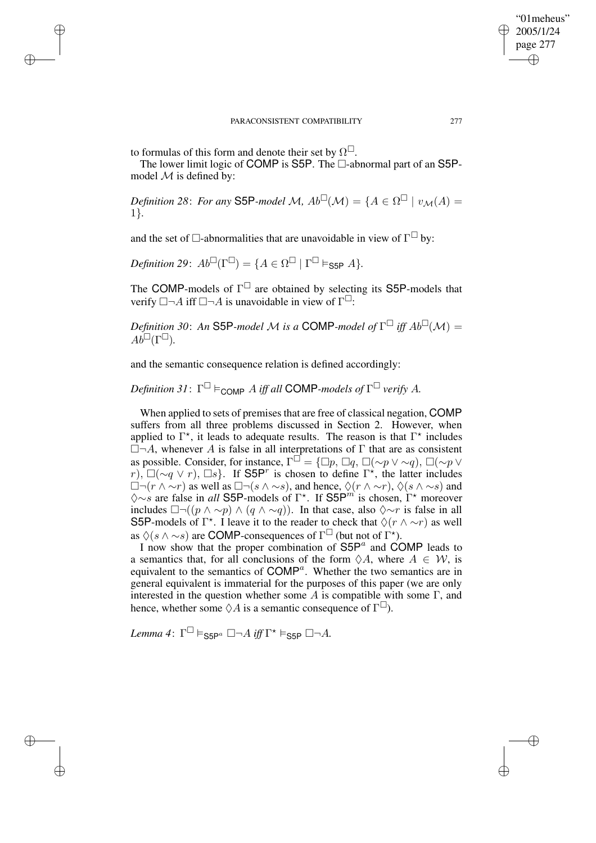to formulas of this form and denote their set by  $\Omega^{\square}$ .

 $\rightarrow$ 

 $\rightarrow$ 

✐

✐

The lower limit logic of COMP is S5P. The  $\Box$ -abnormal part of an S5Pmodel  $M$  is defined by:

*Definition* 28: *For any* **S5P**-model M,  $Ab^{\square}(\mathcal{M}) = \{A \in \Omega^{\square} \mid v_{\mathcal{M}}(A) =$ 1}*.*

and the set of  $\Box$ -abnormalities that are unavoidable in view of  $\Gamma^{\Box}$  by:

*Definition* 29:  $Ab^{\square}(\Gamma^{\square}) = \{A \in \Omega^{\square} \mid \Gamma^{\square} \vDash_{\textsf{S5P}} A\}.$ 

The COMP-models of  $\Gamma^{\square}$  are obtained by selecting its S5P-models that verify  $\Box \neg A$  iff  $\Box \neg A$  is unavoidable in view of  $\Gamma^{\Box}$ :

*Definition* 30: An S5P-model M is a COMP-model of  $\Gamma^{\square}$  iff  $Ab^{\square}(\mathcal{M}) =$  $Ab^{\square}(\Gamma^{\square}).$ 

and the semantic consequence relation is defined accordingly:

 $D$ efinition 31:  $\Gamma^{\square} \vDash_{\text{COMP}} A$  iff all COMP-models of  $\Gamma^{\square}$  verify A.

When applied to sets of premises that are free of classical negation, COMP suffers from all three problems discussed in Section 2. However, when applied to  $\Gamma^*$ , it leads to adequate results. The reason is that  $\Gamma^*$  includes  $\Box \neg A$ , whenever A is false in all interpretations of  $\Gamma$  that are as consistent as possible. Consider, for instance,  $\Gamma^{\Box} = {\Box p, \Box q, \Box (\sim p \lor \sim q), \Box (\sim p \lor \neg q)}$  $r$ ),  $\Box(\sim q \lor r)$ ,  $\Box s$ }. If S5P<sup>r</sup> is chosen to define  $\Gamma^*$ , the latter includes  $\Box \neg (r \wedge \neg r)$  as well as  $\Box \neg (s \wedge \neg s)$ , and hence,  $\Diamond (r \wedge \neg r)$ ,  $\Diamond (s \wedge \neg s)$  and  $\Diamond \sim s$  are false in *all* S5P-models of Γ<sup>\*</sup>. If S5P<sup>*m*</sup> is chosen, Γ<sup>\*</sup> moreover includes  $\Box \neg ((p \land \sim p) \land (q \land \sim q))$ . In that case, also  $\diamond \sim r$  is false in all S5P-models of  $\Gamma^*$ . I leave it to the reader to check that  $\Diamond(r \wedge \neg r)$  as well as  $\Diamond(s \land \sim s)$  are COMP-consequences of  $\Gamma^{\Box}$  (but not of  $\Gamma^{\star}$ ).

I now show that the proper combination of  $S5P<sup>a</sup>$  and COMP leads to a semantics that, for all conclusions of the form  $\Diamond A$ , where  $A \in \mathcal{W}$ , is equivalent to the semantics of COMP<sup>a</sup>. Whether the two semantics are in general equivalent is immaterial for the purposes of this paper (we are only interested in the question whether some  $A$  is compatible with some  $\Gamma$ , and hence, whether some  $\Diamond A$  is a semantic consequence of  $\Gamma^{\Box}$ ).

 $Lemma 4: \ \Gamma^\square \vDash_{\mathsf{S5P}^a} \square \neg A \ iff \ \Gamma^\star \vDash_{\mathsf{S5P}} \square \neg A.$ 

"01meheus" 2005/1/24 page 277

✐

✐

✐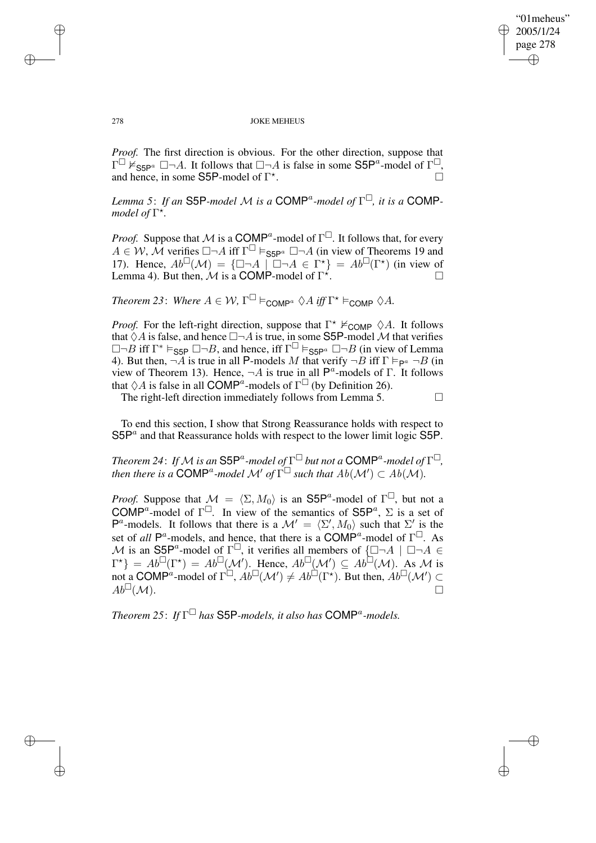✐

### 278 JOKE MEHEUS

*Proof.* The first direction is obvious. For the other direction, suppose that  $\Gamma^{\square}$   $\check{\mathbb{F}}_{\text{S5P}^{\alpha}}$   $\square \neg A$ . It follows that  $\square \neg A$  is false in some S5P<sup>a</sup>-model of  $\Gamma^{\square}$ , and hence, in some S5P-model of  $\Gamma^*$ . — Первый процесс в поставке в собстании в собстании в собстании в собстании в собстании в собстании в собста<br>В собстании в собстании в собстании в собстании в собстании в собстании в собстании в собстании в собстании в

*Lemma* 5: *If an* **S5P**-model M is a COMP<sup>a</sup>-model of  $\Gamma^{\square}$ , *it is a* COMP*model of*  $\Gamma^*$ .

*Proof.* Suppose that M is a COMP<sup>a</sup>-model of  $\Gamma^{\Box}$ . It follows that, for every  $A \in W$ , M verifies  $\Box \neg A$  iff  $\Gamma^{\Box} \vDash_{\mathsf{S5P}^a} \Box \neg A$  (in view of Theorems 19 and 17). Hence,  $Ab^{\square}(\mathcal{M}) = {\square \neg A \mid \square \neg A \in \Gamma^{\star}} = Ab^{\square}(\Gamma^{\star})$  (in view of Lemma 4). But then,  $\mathcal M$  is a COMP-model of  $\Gamma^*$ . — Видовик Станиция и Станиция и Станиция и Станиция и Станиция и Станиция и Станиция и Станиция и Станиция и<br>В станиция и Станиция и Станиция и Станиция и Станиция и Станиция и Станиция и Станиция и Станиция и Станиция<br>

*Theorem* 23: *Where*  $A \in W$ ,  $\Gamma^{\square} \vDash_{\text{COMP}} \Diamond A$  *iff*  $\Gamma^{\star} \vDash_{\text{COMP}} \Diamond A$ .

*Proof.* For the left-right direction, suppose that  $\Gamma^* \nvDash_{\text{COMP}} \Diamond A$ . It follows that  $\Diamond A$  is false, and hence  $\Box\neg A$  is true, in some S5P-model M that verifies  $\square \neg B$  iff  $\Gamma^* \vDash_{\text{S5P}} \square \neg B$ , and hence, iff  $\Gamma^{\square} \vDash_{\text{S5P}^a} \square \neg B$  (in view of Lemma 4). But then,  $\neg A$  is true in all P-models M that verify  $\neg B$  iff  $\Gamma \vDash_{\mathsf{P}^a} \neg B$  (in view of Theorem 13). Hence,  $\neg A$  is true in all  $\mathsf{P}^a$ -models of  $\Gamma$ . It follows that  $\Diamond A$  is false in all COMP<sup>a</sup>-models of  $\Gamma^{\Box}$  (by Definition 26).

The right-left direction immediately follows from Lemma 5.  $\Box$ 

To end this section, I show that Strong Reassurance holds with respect to  $S5P<sup>a</sup>$  and that Reassurance holds with respect to the lower limit logic S5P.

*Theorem 24: If*  ${\cal M}$  *is an*  $\mathsf{S5P}^a$ -model of  $\Gamma^\square$  but not a  $\mathsf{COMP}^a$ -model of  $\Gamma^\square,$ *then there is a* COMP<sup>a</sup>-model  $\mathcal{M}'$  of  $\check{\Gamma}^{\square}$  such that  $Ab(\mathcal{M}') \subset Ab(\mathcal{M})$ .

*Proof.* Suppose that  $\mathcal{M} = \langle \Sigma, M_0 \rangle$  is an S5P<sup>a</sup>-model of  $\Gamma^{\Box}$ , but not a COMP<sup>a</sup>-model of  $\Gamma^{\square}$ . In view of the semantics of S5P<sup>a</sup>,  $\Sigma$  is a set of P<sup>a</sup>-models. It follows that there is a  $\mathcal{M}' = \langle \Sigma', M_0 \rangle$  such that  $\Sigma'$  is the set of *all*  $P^a$ -models, and hence, that there is a COMP<sup>a</sup>-model of  $\Gamma^{\Box}$ . As M is an S5P<sup>a</sup>-model of  $\Gamma^{\square}$ , it verifies all members of  $\{\square \neg A \mid \square \neg A \in$  $\Gamma^*$ } =  $Ab^{\square}(\Gamma^*) = Ab^{\square}(\mathcal{M}')$ . Hence,  $Ab^{\square}(\mathcal{M}') \subseteq Ab^{\square}(\mathcal{M})$ . As M is not a COMP<sup>a</sup>-model of  $\Gamma^{\square}$ ,  $Ab^{\square}(\mathcal{M}') \neq Ab^{\square}(\Gamma^{\star})$ . But then,  $Ab^{\square}(\mathcal{M}') \subset$  $Ab^{\square}(\mathcal{M}).$ 

*Theorem 25*: *If* Γ *has* S5P*-models, it also has* COMP<sup>a</sup> *-models.*

✐

✐

✐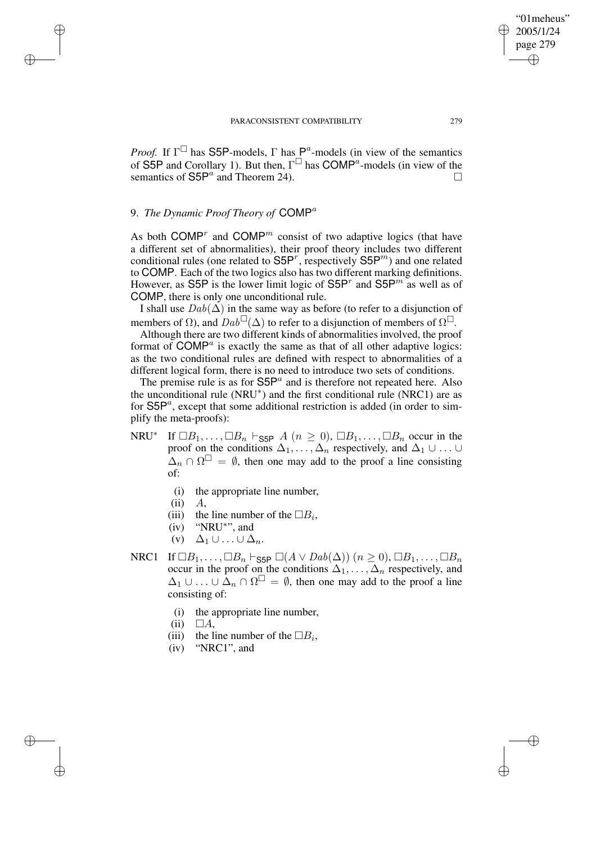*Proof.* If  $\Gamma^{\square}$  has S5P-models,  $\Gamma$  has  $P^a$ -models (in view of the semantics of S5P and Corollary 1). But then,  $\Gamma^{\Box}$  has COMP<sup>a</sup>-models (in view of the semantics of  $\mathsf{S5P}^a$  and Theorem 24).

# 9. *The Dynamic Proof Theory of* COMP<sup>a</sup>

✐

✐

✐

✐

As both COMP<sup>r</sup> and COMP<sup>m</sup> consist of two adaptive logics (that have a different set of abnormalities), their proof theory includes two different conditional rules (one related to  $S5P^r$ , respectively  $S5P^m$ ) and one related to COMP. Each of the two logics also has two different marking definitions. However, as S5P is the lower limit logic of S5P<sup>r</sup> and S5P<sup>m</sup> as well as of COMP, there is only one unconditional rule.

I shall use  $Dab(\Delta)$  in the same way as before (to refer to a disjunction of members of  $\Omega$ ), and  $Dab^{\Box}(\Delta)$  to refer to a disjunction of members of  $\Omega^{\Box}$ .

Although there are two different kinds of abnormalities involved, the proof format of  $COMP<sup>a</sup>$  is exactly the same as that of all other adaptive logics: as the two conditional rules are defined with respect to abnormalities of a different logical form, there is no need to introduce two sets of conditions.

The premise rule is as for  $S5P^a$  and is therefore not repeated here. Also the unconditional rule (NRU<sup>\*</sup>) and the first conditional rule (NRC1) are as for  $\mathsf{S5P}^a$ , except that some additional restriction is added (in order to simplify the meta-proofs):

- NRU ∗ If  $\Box B_1, \ldots, \Box B_n \vdash_{\mathsf{S5P}} A$   $(n \geq 0), \Box B_1, \ldots, \Box B_n$  occur in the proof on the conditions  $\Delta_1, \ldots, \Delta_n$  respectively, and  $\Delta_1 \cup \ldots \cup$  $\Delta_n \cap \Omega^{\square} = \emptyset$ , then one may add to the proof a line consisting of:
	- (i) the appropriate line number,
	- $(ii)$   $A$
	- (iii) the line number of the  $\Box B_i$ ,
	- (iv) "NRU\*", and
	- $(v)$   $\Delta_1 \cup ... \cup \Delta_n$ .
- NRC1 If  $\Box B_1, \ldots, \Box B_n \vdash_{\mathsf{S5P}} \Box(A \lor \mathit{Dab}(\Delta))$  (n ≥ 0),  $\Box B_1, \ldots, \Box B_n$ occur in the proof on the conditions  $\Delta_1, \ldots, \Delta_n$  respectively, and  $\Delta_1 \cup \ldots \cup \tilde{\Delta}_n \cap \Omega^{\square} = \emptyset$ , then one may add to the proof a line consisting of:
	- (i) the appropriate line number,
	- $(ii) \square A$ ,
	- (iii) the line number of the  $\Box B_i$ ,
	- (iv) "NRC1", and

"01meheus" 2005/1/24 page 279

✐

✐

✐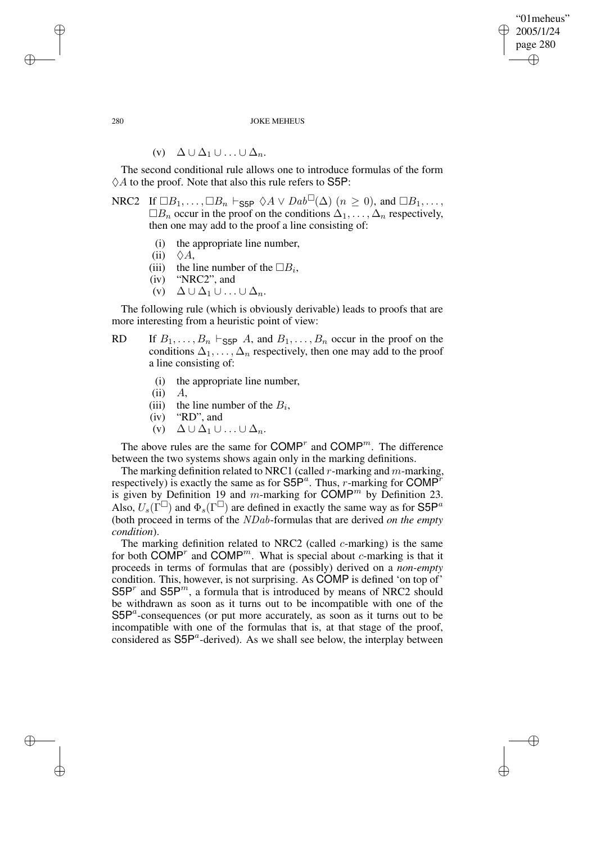"01meheus" 2005/1/24 page 280 ✐ ✐

✐

✐

### 280 JOKE MEHEUS

$$
(v) \quad \Delta \cup \Delta_1 \cup \ldots \cup \Delta_n.
$$

The second conditional rule allows one to introduce formulas of the form  $\Diamond A$  to the proof. Note that also this rule refers to S5P:

NRC2 If  $\Box B_1, \ldots, \Box B_n \vdash_{\textsf{S5P}} \Diamond A \vee \textit{Dab}^{\Box}(\Delta) \ (n \geq 0)$ , and  $\Box B_1, \ldots,$  $\Box B_n$  occur in the proof on the conditions  $\Delta_1, \ldots, \Delta_n$  respectively, then one may add to the proof a line consisting of:

- (i) the appropriate line number,
- $(ii) \quad \Diamond A$ ,
- (iii) the line number of the  $\Box B_i$ ,
- (iv) "NRC2", and
- (v)  $\Delta \cup \Delta_1 \cup ... \cup \Delta_n$ .

The following rule (which is obviously derivable) leads to proofs that are more interesting from a heuristic point of view:

- RD If  $B_1, \ldots, B_n \vdash_{\textsf{S5P}} A$ , and  $B_1, \ldots, B_n$  occur in the proof on the conditions  $\Delta_1, \ldots, \Delta_n$  respectively, then one may add to the proof a line consisting of:
	- (i) the appropriate line number,
	- $(ii)$   $A$ .
	- (iii) the line number of the  $B_i$ ,
	- (iv) "RD", and
	- (v)  $\Delta \cup \Delta_1 \cup ... \cup \Delta_n$ .

The above rules are the same for  $\mathsf{COMP}^r$  and  $\mathsf{COMP}^m$ . The difference between the two systems shows again only in the marking definitions.

The marking definition related to NRC1 (called  $r$ -marking and  $m$ -marking, respectively) is exactly the same as for  $S5P^a$ . Thus, r-marking for COMP<sup>r</sup> is given by Definition 19 and m-marking for  $\text{COMP}^m$  by Definition 23. Also,  $U_s(\Gamma^{\square})$  and  $\Phi_s(\Gamma^{\square})$  are defined in exactly the same way as for S5P<sup>a</sup> (both proceed in terms of the NDab-formulas that are derived *on the empty condition*).

The marking definition related to NRC2 (called  $c$ -marking) is the same for both COMP<sup>r</sup> and COMP<sup>m</sup>. What is special about c-marking is that it proceeds in terms of formulas that are (possibly) derived on a *non-empty* condition. This, however, is not surprising. As COMP is defined 'on top of'  $S5P<sup>r</sup>$  and  $S5P<sup>m</sup>$ , a formula that is introduced by means of NRC2 should be withdrawn as soon as it turns out to be incompatible with one of the  $S5P<sup>a</sup>$ -consequences (or put more accurately, as soon as it turns out to be incompatible with one of the formulas that is, at that stage of the proof, considered as  $S5P^a$ -derived). As we shall see below, the interplay between

✐

✐

✐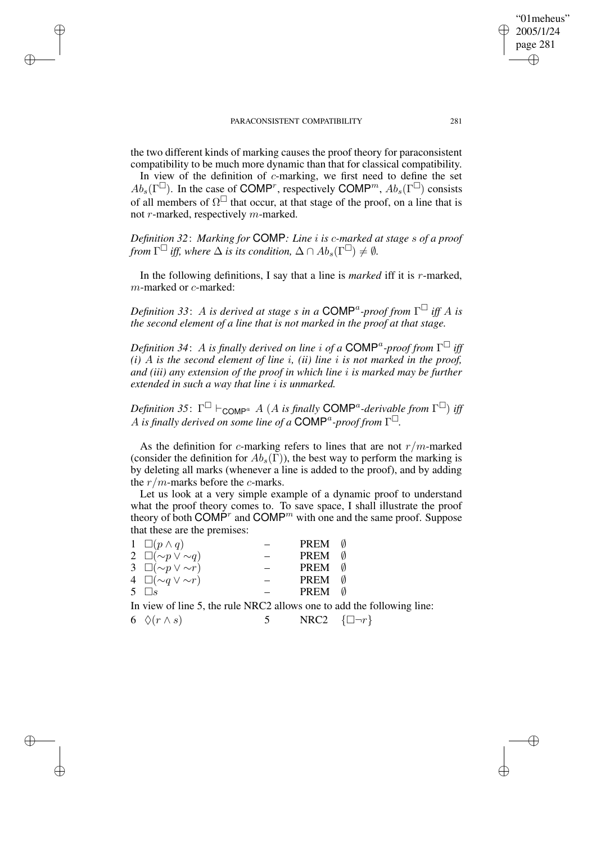✐

✐

✐

✐

the two different kinds of marking causes the proof theory for paraconsistent compatibility to be much more dynamic than that for classical compatibility.

In view of the definition of c-marking, we first need to define the set  $Ab_s(\Gamma^{\square})$ . In the case of COMP<sup>r</sup>, respectively COMP<sup>m</sup>,  $Ab_s(\Gamma^{\square})$  consists of all members of  $\Omega^{\square}$  that occur, at that stage of the proof, on a line that is not r-marked, respectively  $m$ -marked.

*Definition 32*: *Marking for* COMP*: Line* i *is* c*-marked at stage* s *of a proof from*  $\Gamma^{\square}$  *iff,* where  $\Delta$  *is its condition,*  $\Delta \cap Ab_s(\Gamma^{\square}) \neq \emptyset$ *.* 

In the following definitions, I say that a line is *marked* iff it is r-marked, m-marked or c-marked:

*Definition 33*: A *is derived at stage s in a* COMP<sup>a</sup> *-proof from* Γ *iff* A *is the second element of a line that is not marked in the proof at that stage.*

*Definition 34*: A *is finally derived on line* i *of a* COMP<sup>a</sup> *-proof from* Γ *iff*  $(i)$  *A is* the second element of line *i*, *(ii)* line *i is* not marked in the proof, *and (iii) any extension of the proof in which line* i *is marked may be further extended in such a way that line* i *is unmarked.*

 $Definition$  35:  $\Gamma^{\Box}$   $\vdash_{\mathsf{COMP}^a}$  A (A is finally  $\mathsf{COMP}^a$ -derivable from  $\Gamma^{\Box}$ ) iff A is finally derived on some line of a COMP<sup>a</sup>-proof from  $\Gamma^{\square}$ .

As the definition for c-marking refers to lines that are not  $r/m$ -marked (consider the definition for  $Ab_s(\Gamma)$ ), the best way to perform the marking is by deleting all marks (whenever a line is added to the proof), and by adding the  $r/m$ -marks before the  $c$ -marks.

Let us look at a very simple example of a dynamic proof to understand what the proof theory comes to. To save space, I shall illustrate the proof theory of both COMP<sup>r</sup> and COMP<sup>*m*</sup> with one and the same proof. Suppose that these are the premises:

| $1 \square (p \wedge q)$     | <b>PREM</b> | ᠕ |
|------------------------------|-------------|---|
| 2 $\Box(\sim p \vee \sim q)$ | <b>PREM</b> | Ø |
| 3 $\Box(\sim p \vee \sim r)$ | <b>PREM</b> | Ø |
| 4 $\Box(\sim q \vee \sim r)$ | <b>PREM</b> | Ø |
| 5 $\Box s$                   | <b>PREM</b> | Ø |
|                              |             |   |

In view of line 5, the rule NRC2 allows one to add the following line:

6  $\Diamond(r \wedge s)$  5 NRC2  $\{\Box \neg r\}$ 

"01meheus" 2005/1/24 page 281

✐

✐

✐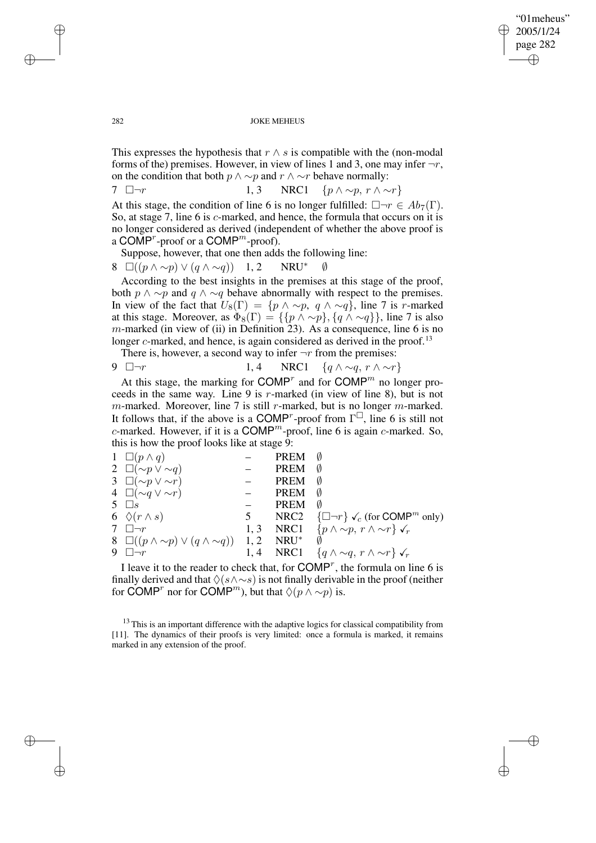✐

### 282 JOKE MEHEUS

This expresses the hypothesis that  $r \wedge s$  is compatible with the (non-modal forms of the) premises. However, in view of lines 1 and 3, one may infer  $\neg r$ , on the condition that both  $p \land \sim p$  and  $r \land \sim r$  behave normally:

7  $\Box \neg r$  1, 3 NRC1  $\{p \land \sim p, r \land \sim r\}$ 

At this stage, the condition of line 6 is no longer fulfilled:  $\Box \neg r \in Ab_7(\Gamma)$ . So, at stage 7, line 6 is c-marked, and hence, the formula that occurs on it is no longer considered as derived (independent of whether the above proof is a COMP<sup> $r$ </sup>-proof or a COMP<sup> $m$ </sup>-proof).

Suppose, however, that one then adds the following line:

8  $\Box((p \land \sim p) \lor (q \land \sim q))$  1, 2 NRU<sup>\*</sup>

According to the best insights in the premises at this stage of the proof, both  $p \wedge \sim p$  and  $q \wedge \sim q$  behave abnormally with respect to the premises. In view of the fact that  $U_8(\Gamma) = \{p \land \sim p, q \land \sim q\}$ , line 7 is r-marked at this stage. Moreover, as  $\Phi_8(\Gamma) = \{ \{p \wedge \sim p\}, \{q \wedge \sim q\} \}$ , line 7 is also  $m$ -marked (in view of (ii) in Definition 23). As a consequence, line 6 is no longer  $c$ -marked, and hence, is again considered as derived in the proof.<sup>13</sup>

There is, however, a second way to infer  $\neg r$  from the premises:

$$
9 \quad \Box \neg r \qquad 1,4 \quad \text{NRC1} \quad \{q \land \sim q, \ r \land \sim r\}
$$

At this stage, the marking for  $\text{COMP}^r$  and for  $\text{COMP}^m$  no longer proceeds in the same way. Line 9 is r-marked (in view of line 8), but is not  $m$ -marked. Moreover, line 7 is still r-marked, but is no longer  $m$ -marked. It follows that, if the above is a COMP<sup>r</sup>-proof from  $\Gamma^{\square}$ , line 6 is still not c-marked. However, if it is a  $\text{COMP}^m$ -proof, line 6 is again c-marked. So, this is how the proof looks like at stage 9:

|    | $1 \square (p \wedge q)$                              |      | PREM             | Ø                                                                  |
|----|-------------------------------------------------------|------|------------------|--------------------------------------------------------------------|
|    | 2 $\Box(\sim p \vee \sim q)$                          |      | <b>PREM</b>      | Ø                                                                  |
|    | 3 $\Box(\sim p \vee \sim r)$                          |      | <b>PREM</b>      | Ø                                                                  |
|    | 4 $\Box(\sim q \vee \sim r)$                          |      | <b>PREM</b>      | Ø                                                                  |
|    | 5 $\Box$ s                                            |      | <b>PREM</b>      | Ø                                                                  |
|    | 6 $\Diamond(r \wedge s)$                              | 5    | NRC <sub>2</sub> | $\{\Box \neg r\} \checkmark_c$ (for COMP <sup><i>m</i></sup> only) |
|    | 7 $\Box \neg r$                                       | 1, 3 |                  | NRC1 $\{p \wedge \sim p, r \wedge \sim r\}$ $\checkmark_r$         |
|    | 8 $\Box((p \land \sim p) \lor (q \land \sim q))$ 1, 2 |      | $NRU^*$          |                                                                    |
| 9. | $\Box \neg r$                                         |      | $1, 4$ NRC1      | $\{q \wedge \sim q, r \wedge \sim r\}$ $\checkmark_r$              |
|    |                                                       |      |                  |                                                                    |

I leave it to the reader to check that, for  $COMP^r$ , the formula on line 6 is finally derived and that  $\Diamond(s \land \neg s)$  is not finally derivable in the proof (neither for COMP<sup>*r*</sup> nor for COMP<sup>*m*</sup>), but that  $\Diamond(p \land \sim p)$  is.

<sup>13</sup> This is an important difference with the adaptive logics for classical compatibility from [11]. The dynamics of their proofs is very limited: once a formula is marked, it remains marked in any extension of the proof.

✐

✐

✐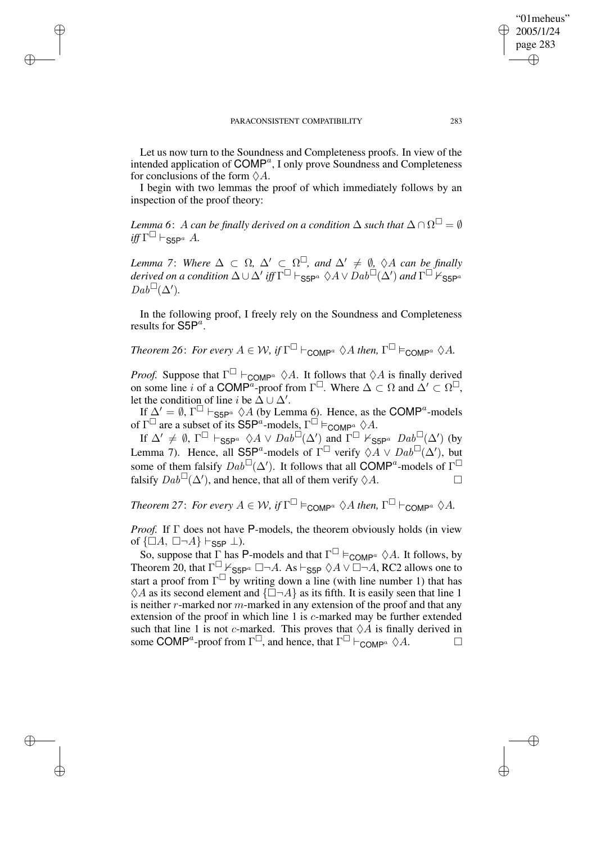✐

✐

✐

✐

Let us now turn to the Soundness and Completeness proofs. In view of the intended application of  $\text{COMP}^a$ , I only prove Soundness and Completeness for conclusions of the form  $\Diamond A$ .

I begin with two lemmas the proof of which immediately follows by an inspection of the proof theory:

 $I$ *emma*  $6\colon A$  *can be finally derived on a condition*  $\Delta$  *such that*  $\Delta \cap \Omega^\square = \emptyset$  $\int \int \Gamma^{\Box} \vdash_{\mathsf{S5P}^a} A.$ 

*Lemma* 7: *Where*  $\Delta \subset \Omega$ ,  $\Delta' \subset \Omega^{\square}$ , and  $\Delta' \neq \emptyset$ ,  $\Diamond A$  can be finally  $d$ erived on a condition  $\Delta$   $\cup$   $\Delta'$  iff  $\Gamma^\square$   $\vdash_{\textsf{S5P}^a}$   $\Diamond A \vee \overline{D}ab^\square(\Delta')$  and  $\Gamma^\square$   $\nvDash_{\textsf{S5P}^a}$  $Dab^{\Box}(\Delta').$ 

In the following proof, I freely rely on the Soundness and Completeness results for  $\mathsf{S5P}^a$ .

*Theorem* 26: *For every*  $A \in W$ , *if*  $\Gamma^{\square} \vdash_{\mathsf{COMP}^a} \Diamond A$  *then*,  $\Gamma^{\square} \models_{\mathsf{COMP}^a} \Diamond A$ .

*Proof.* Suppose that  $\Gamma^{\Box}$   $\vdash_{\text{COMP}^a} \Diamond A$ . It follows that  $\Diamond A$  is finally derived on some line i of a COMP<sup>a</sup>-proof from  $\Gamma^{\Box}$ . Where  $\Delta \subset \Omega$  and  $\Delta' \subset \Omega^{\Box}$ , let the condition of line *i* be  $\tilde{\Delta} \cup \Delta'$ .

If  $\Delta' = \emptyset$ ,  $\Gamma^{\square} \vdash_{\mathsf{S5P}^a} \lozenge A$  (by Lemma 6). Hence, as the COMP<sup>*a*</sup>-models of  $\Gamma^{\square}$  are a subset of its S5P<sup>a</sup>-models,  $\Gamma^{\square} \models_{\text{COMP}^a} \Diamond A$ .

If  $\Delta' \neq \emptyset$ ,  $\Gamma^{\square} \vdash_{\mathsf{S5P}^a} \Diamond A \vee \mathrm{D}ab^{\square}(\Delta')$  and  $\Gamma^{\square} \not\models_{\mathsf{S5P}^a} \mathrm{D}ab^{\square}(\Delta')$  (by Lemma 7). Hence, all S5P<sup>a</sup>-models of  $\Gamma^{\Box}$  verify  $\Diamond A \vee Dab^{\Box}(\Delta')$ , but some of them falsify  $Dab^{\Box}(\Delta')$ . It follows that all COMP<sup>a</sup>-models of  $\Gamma^{\Box}$ falsify  $Dab^{\Box}(\Delta')$ , and hence, that all of them verify  $\Diamond A$ .

*Theorem* 27: *For every*  $A \in W$ , *if*  $\Gamma^{\square} \vDash_{\text{COMP}^a} \Diamond A$  *then*,  $\Gamma^{\square} \vdash_{\text{COMP}^a} \Diamond A$ .

*Proof.* If  $\Gamma$  does not have P-models, the theorem obviously holds (in view of  $\{\Box A, \Box \neg A\} \vdash_{\text{S5P}} \bot$ ).

So, suppose that  $\Gamma$  has P-models and that  $\Gamma^{\square} \models_{\text{COMP}^a} \Diamond A$ . It follows, by Theorem 20, that  $\Gamma^{\square}$   $\vdash$  S5P<sup>*a*</sup>  $\square \neg A$ . As  $\vdash$  S5P  $\Diamond A \lor \Box \neg A$ , RC2 allows one to start a proof from  $\Gamma^{\square}$  by writing down a line (with line number 1) that has  $\Diamond A$  as its second element and  $\{\Box \neg A\}$  as its fifth. It is easily seen that line 1 is neither  $r$ -marked nor  $m$ -marked in any extension of the proof and that any extension of the proof in which line 1 is c-marked may be further extended such that line 1 is not c-marked. This proves that  $\Diamond A$  is finally derived in some COMP<sup>a</sup>-proof from  $\Gamma^{\square}$ , and hence, that  $\Gamma^{\square}$   $\vdash_{\text{COMP}^a} \Diamond A$ .

"01meheus" 2005/1/24 page 283

✐

✐

✐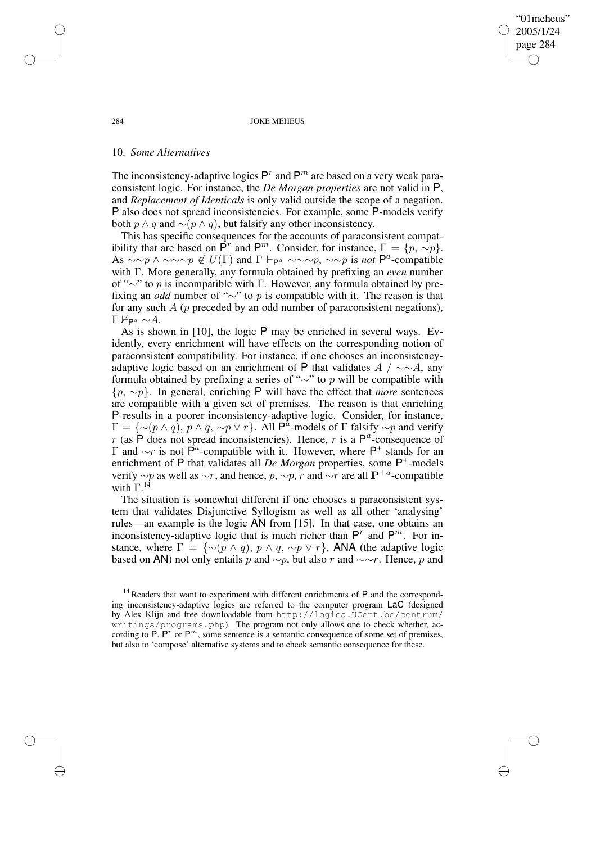"01meheus" 2005/1/24 page 284 ✐ ✐

✐

✐

#### 284 JOKE MEHEUS

### 10. *Some Alternatives*

The inconsistency-adaptive logics  $P^r$  and  $P^m$  are based on a very weak paraconsistent logic. For instance, the *De Morgan properties* are not valid in P, and *Replacement of Identicals* is only valid outside the scope of a negation. P also does not spread inconsistencies. For example, some P-models verify both  $p \wedge q$  and  $\sim (p \wedge q)$ , but falsify any other inconsistency.

This has specific consequences for the accounts of paraconsistent compatibility that are based on  $\mathsf{P}^r$  and  $\mathsf{P}^m$ . Consider, for instance,  $\Gamma = \{p, \sim p\}$ . As  $\sim \sim p \land \sim \sim \sim p \notin U(\Gamma)$  and  $\Gamma \vdash_{\mathsf{P}^a} \sim \sim \sim p$ ,  $\sim \sim p$  is *not*  $\mathsf{P}^a$ -compatible with Γ. More generally, any formula obtained by prefixing an *even* number of "∼" to p is incompatible with Γ. However, any formula obtained by prefixing an *odd* number of "∼" to p is compatible with it. The reason is that for any such  $A$  ( $p$  preceded by an odd number of paraconsistent negations), Γ $\nvDash_{\mathsf{P}^a} \sim A$ .

As is shown in [10], the logic P may be enriched in several ways. Evidently, every enrichment will have effects on the corresponding notion of paraconsistent compatibility. For instance, if one chooses an inconsistencyadaptive logic based on an enrichment of P that validates  $A / \sim A$ , any formula obtained by prefixing a series of "∼" to p will be compatible with {p, ∼p}. In general, enriching P will have the effect that *more* sentences are compatible with a given set of premises. The reason is that enriching P results in a poorer inconsistency-adaptive logic. Consider, for instance,  $\Gamma = \{ \sim (p \wedge q), p \wedge q, \sim p \vee r \}.$  All  $\mathsf{P}^{\hat{a}}$ -models of  $\Gamma$  falsify  $\sim p$  and verify r (as  $\overline{P}$  does not spread inconsistencies). Hence, r is a  $P^a$ -consequence of Γ and  $\sim$ r is not P<sup>*a*</sup>-compatible with it. However, where P<sup>+</sup> stands for an enrichment of P that validates all *De Morgan* properties, some P<sup>+</sup>-models verify  $\sim p$  as well as  $\sim r$ , and hence, p,  $\sim p$ , r and  $\sim r$  are all P<sup>+a</sup>-compatible with  $\Gamma^{14}$ 

The situation is somewhat different if one chooses a paraconsistent system that validates Disjunctive Syllogism as well as all other 'analysing' rules—an example is the logic AN from [15]. In that case, one obtains an inconsistency-adaptive logic that is much richer than  $P^r$  and  $P^m$ . For instance, where  $\Gamma = \{ \sim (p \wedge q), p \wedge q, \sim p \vee r \}$ , ANA (the adaptive logic based on AN) not only entails p and  $\sim p$ , but also r and  $\sim \sim r$ . Hence, p and

✐

✐

✐

 $14$  Readers that want to experiment with different enrichments of P and the corresponding inconsistency-adaptive logics are referred to the computer program LaC (designed by Alex Klijn and free downloadable from http://logica.UGent.be/centrum/ writings/programs.php). The program not only allows one to check whether, according to  $\overline{P}$ ,  $\overline{P}^r$  or  $\overline{P}^m$ , some sentence is a semantic consequence of some set of premises, but also to 'compose' alternative systems and to check semantic consequence for these.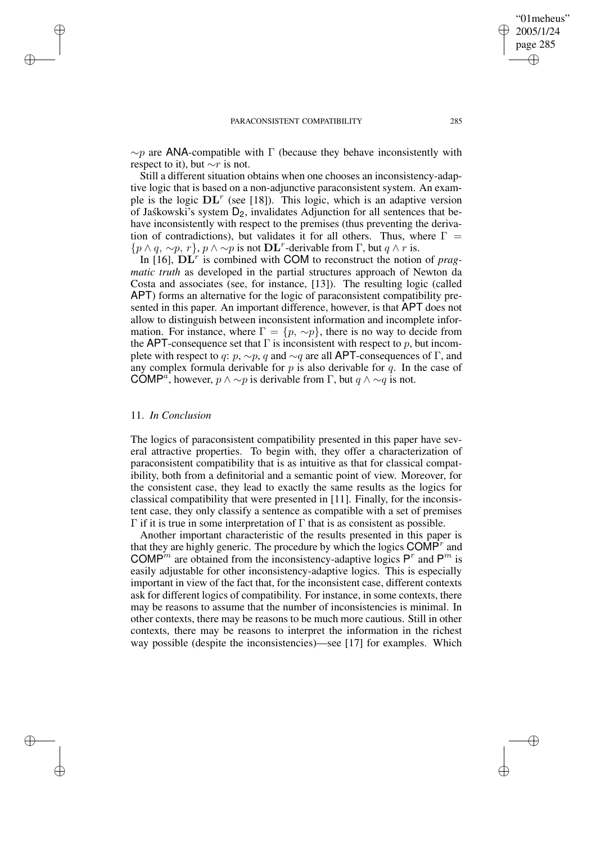✐

 $\sim p$  are ANA-compatible with Γ (because they behave inconsistently with respect to it), but  $\sim r$  is not.

Still a different situation obtains when one chooses an inconsistency-adaptive logic that is based on a non-adjunctive paraconsistent system. An example is the logic  $\mathbf{DL}^r$  (see [18]). This logic, which is an adaptive version of Jaskowski's system  $D_2$ , invalidates Adjunction for all sentences that behave inconsistently with respect to the premises (thus preventing the derivation of contradictions), but validates it for all others. Thus, where  $\Gamma =$  $\{p \land q, \sim p, r\}, p \land \sim p$  is not  $\mathbf{DL}^r$ -derivable from  $\Gamma$ , but  $q \land r$  is.

In  $[16]$ ,  $\mathbf{DL}^r$  is combined with COM to reconstruct the notion of *pragmatic truth* as developed in the partial structures approach of Newton da Costa and associates (see, for instance, [13]). The resulting logic (called APT) forms an alternative for the logic of paraconsistent compatibility presented in this paper. An important difference, however, is that APT does not allow to distinguish between inconsistent information and incomplete information. For instance, where  $\Gamma = \{p, \sim p\}$ , there is no way to decide from the APT-consequence set that  $\Gamma$  is inconsistent with respect to p, but incomplete with respect to q:  $p, \sim p$ , q and  $\sim q$  are all APT-consequences of Γ, and any complex formula derivable for p is also derivable for q. In the case of COMP<sup>a</sup>, however,  $p \wedge \sim p$  is derivable from  $\Gamma$ , but  $q \wedge \sim q$  is not.

### 11. *In Conclusion*

✐

✐

✐

✐

The logics of paraconsistent compatibility presented in this paper have several attractive properties. To begin with, they offer a characterization of paraconsistent compatibility that is as intuitive as that for classical compatibility, both from a definitorial and a semantic point of view. Moreover, for the consistent case, they lead to exactly the same results as the logics for classical compatibility that were presented in [11]. Finally, for the inconsistent case, they only classify a sentence as compatible with a set of premises  $Γ$  if it is true in some interpretation of  $Γ$  that is as consistent as possible.

Another important characteristic of the results presented in this paper is that they are highly generic. The procedure by which the logics  $\text{COMP}^r$  and COMP<sup>*m*</sup> are obtained from the inconsistency-adaptive logics P<sup>r</sup> and P<sup>m</sup> is easily adjustable for other inconsistency-adaptive logics. This is especially important in view of the fact that, for the inconsistent case, different contexts ask for different logics of compatibility. For instance, in some contexts, there may be reasons to assume that the number of inconsistencies is minimal. In other contexts, there may be reasons to be much more cautious. Still in other contexts, there may be reasons to interpret the information in the richest way possible (despite the inconsistencies)—see [17] for examples. Which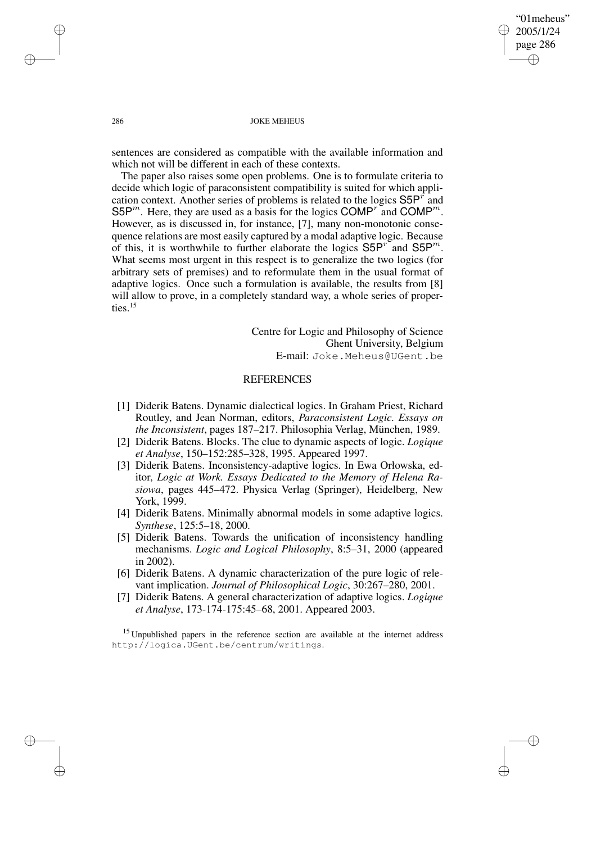"01meheus" 2005/1/24 page 286 ✐ ✐

✐

✐

### 286 JOKE MEHEUS

sentences are considered as compatible with the available information and which not will be different in each of these contexts.

The paper also raises some open problems. One is to formulate criteria to decide which logic of paraconsistent compatibility is suited for which application context. Another series of problems is related to the logics  $S5P^{r}$  and S5P<sup>m</sup>. Here, they are used as a basis for the logics COMP<sup>r</sup> and COMP<sup>m</sup>. However, as is discussed in, for instance, [7], many non-monotonic consequence relations are most easily captured by a modal adaptive logic. Because of this, it is worthwhile to further elaborate the logics  $S5P^{r}$  and  $S5P^{m}$ . What seems most urgent in this respect is to generalize the two logics (for arbitrary sets of premises) and to reformulate them in the usual format of adaptive logics. Once such a formulation is available, the results from [8] will allow to prove, in a completely standard way, a whole series of properties.<sup>15</sup>

> Centre for Logic and Philosophy of Science Ghent University, Belgium E-mail: Joke.Meheus@UGent.be

# **REFERENCES**

- [1] Diderik Batens. Dynamic dialectical logics. In Graham Priest, Richard Routley, and Jean Norman, editors, *Paraconsistent Logic. Essays on the Inconsistent*, pages 187–217. Philosophia Verlag, München, 1989.
- [2] Diderik Batens. Blocks. The clue to dynamic aspects of logic. *Logique et Analyse*, 150–152:285–328, 1995. Appeared 1997.
- [3] Diderik Batens. Inconsistency-adaptive logics. In Ewa Orłowska, editor, *Logic at Work. Essays Dedicated to the Memory of Helena Rasiowa*, pages 445–472. Physica Verlag (Springer), Heidelberg, New York, 1999.
- [4] Diderik Batens. Minimally abnormal models in some adaptive logics. *Synthese*, 125:5–18, 2000.
- [5] Diderik Batens. Towards the unification of inconsistency handling mechanisms. *Logic and Logical Philosophy*, 8:5–31, 2000 (appeared in 2002).
- [6] Diderik Batens. A dynamic characterization of the pure logic of relevant implication. *Journal of Philosophical Logic*, 30:267–280, 2001.
- [7] Diderik Batens. A general characterization of adaptive logics. *Logique et Analyse*, 173-174-175:45–68, 2001. Appeared 2003.

<sup>15</sup> Unpublished papers in the reference section are available at the internet address http://logica.UGent.be/centrum/writings.

✐

✐

✐